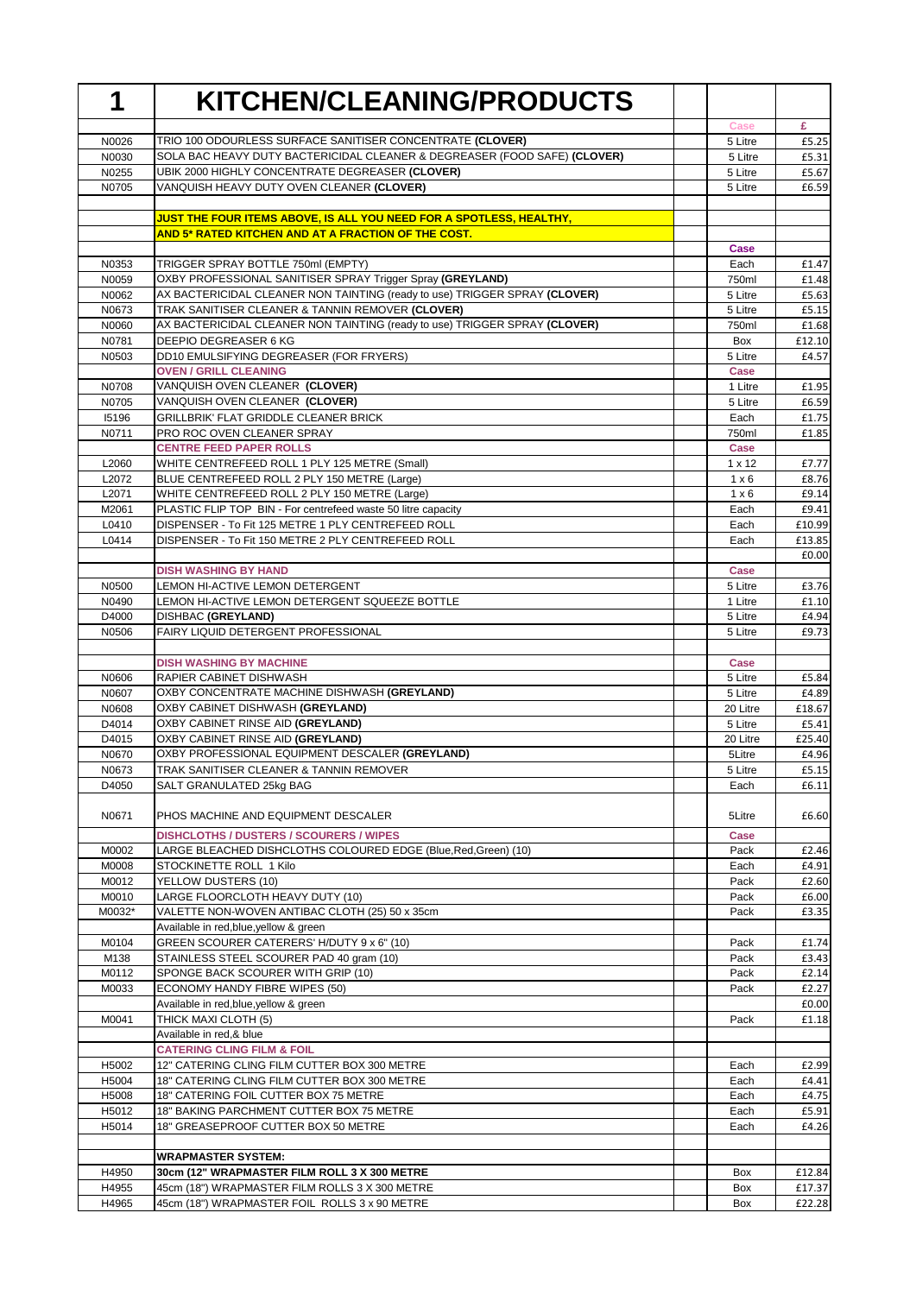| 1              | <b>KITCHEN/CLEANING/PRODUCTS</b>                                                                                                    |                     |                 |
|----------------|-------------------------------------------------------------------------------------------------------------------------------------|---------------------|-----------------|
|                |                                                                                                                                     | Case                | £               |
| N0026          | TRIO 100 ODOURLESS SURFACE SANITISER CONCENTRATE (CLOVER)                                                                           | 5 Litre             | £5.25           |
| N0030          | SOLA BAC HEAVY DUTY BACTERICIDAL CLEANER & DEGREASER (FOOD SAFE) (CLOVER)<br><b>UBIK 2000 HIGHLY CONCENTRATE DEGREASER (CLOVER)</b> | 5 Litre             | £5.31           |
| N0255<br>N0705 | VANQUISH HEAVY DUTY OVEN CLEANER (CLOVER)                                                                                           | 5 Litre<br>5 Litre  | £5.67<br>£6.59  |
|                |                                                                                                                                     |                     |                 |
|                | <b>JUST THE FOUR ITEMS ABOVE, IS ALL YOU NEED FOR A SPOTLESS, HEALTHY,</b>                                                          |                     |                 |
|                | AND 5* RATED KITCHEN AND AT A FRACTION OF THE COST.                                                                                 | Case                |                 |
| N0353          | TRIGGER SPRAY BOTTLE 750ml (EMPTY)                                                                                                  | Each                | £1.47           |
| N0059          | OXBY PROFESSIONAL SANITISER SPRAY Trigger Spray (GREYLAND)                                                                          | 750ml               | £1.48           |
| N0062          | AX BACTERICIDAL CLEANER NON TAINTING (ready to use) TRIGGER SPRAY (CLOVER)                                                          | 5 Litre             | £5.63           |
| N0673          | TRAK SANITISER CLEANER & TANNIN REMOVER (CLOVER)                                                                                    | 5 Litre             | £5.15           |
| N0060          | AX BACTERICIDAL CLEANER NON TAINTING (ready to use) TRIGGER SPRAY (CLOVER)                                                          | 750ml               | £1.68           |
| N0781          | DEEPIO DEGREASER 6 KG                                                                                                               | Box                 | £12.10          |
| N0503          | DD10 EMULSIFYING DEGREASER (FOR FRYERS)                                                                                             | 5 Litre             | £4.57           |
| N0708          | <b>OVEN / GRILL CLEANING</b><br>VANQUISH OVEN CLEANER (CLOVER)                                                                      | Case<br>1 Litre     | £1.95           |
| N0705          | VANQUISH OVEN CLEANER (CLOVER)                                                                                                      | 5 Litre             | £6.59           |
| 15196          | <b>GRILLBRIK' FLAT GRIDDLE CLEANER BRICK</b>                                                                                        | Each                | £1.75           |
| N0711          | PRO ROC OVEN CLEANER SPRAY                                                                                                          | 750ml               | £1.85           |
|                | <b>CENTRE FEED PAPER ROLLS</b>                                                                                                      | Case                |                 |
| L2060          | WHITE CENTREFEED ROLL 1 PLY 125 METRE (Small)                                                                                       | 1 x 12              | £7.77           |
| L2072          | BLUE CENTREFEED ROLL 2 PLY 150 METRE (Large)                                                                                        | $1 \times 6$        | £8.76           |
| L2071          | WHITE CENTREFEED ROLL 2 PLY 150 METRE (Large)                                                                                       | $1 \times 6$        | £9.14           |
| M2061<br>L0410 | PLASTIC FLIP TOP BIN - For centrefeed waste 50 litre capacity<br>DISPENSER - To Fit 125 METRE 1 PLY CENTREFEED ROLL                 | Each                | £9.41<br>£10.99 |
| L0414          | DISPENSER - To Fit 150 METRE 2 PLY CENTREFEED ROLL                                                                                  | Each<br>Each        | £13.85          |
|                |                                                                                                                                     |                     | £0.00           |
|                | <b>DISH WASHING BY HAND</b>                                                                                                         | Case                |                 |
| N0500          | LEMON HI-ACTIVE LEMON DETERGENT                                                                                                     | 5 Litre             | £3.76           |
| N0490          | LEMON HI-ACTIVE LEMON DETERGENT SQUEEZE BOTTLE                                                                                      | 1 Litre             | £1.10           |
| D4000          | DISHBAC (GREYLAND)                                                                                                                  | 5 Litre             | £4.94           |
| N0506          | FAIRY LIQUID DETERGENT PROFESSIONAL                                                                                                 | 5 Litre             | £9.73           |
|                | <b>DISH WASHING BY MACHINE</b>                                                                                                      | Case                |                 |
| N0606          | RAPIER CABINET DISHWASH                                                                                                             | 5 Litre             | £5.84           |
| N0607          | OXBY CONCENTRATE MACHINE DISHWASH (GREYLAND)<br>OXBY CABINET DISHWASH (GREYLAND)                                                    | 5 Litre             | £4.89           |
| N0608<br>D4014 | OXBY CABINET RINSE AID (GREYLAND)                                                                                                   | 20 Litre<br>5 Litre | £18.67<br>£5.41 |
| D4015          | OXBY CABINET RINSE AID (GREYLAND)                                                                                                   | 20 Litre            | £25.40          |
| N0670          | OXBY PROFESSIONAL EQUIPMENT DESCALER (GREYLAND)                                                                                     | 5Litre              | £4.96           |
| N0673          | TRAK SANITISER CLEANER & TANNIN REMOVER                                                                                             | 5 Litre             | £5.15           |
| D4050          | SALT GRANULATED 25kg BAG                                                                                                            | Each                | £6.11           |
| N0671          | PHOS MACHINE AND EQUIPMENT DESCALER                                                                                                 | 5Litre              | £6.60           |
|                | <b>DISHCLOTHS / DUSTERS / SCOURERS / WIPES</b>                                                                                      | <b>Case</b>         |                 |
| M0002          | LARGE BLEACHED DISHCLOTHS COLOURED EDGE (Blue,Red,Green) (10)                                                                       | Pack                | £2.46           |
| M0008          | STOCKINETTE ROLL 1 Kilo                                                                                                             | Each                | £4.91           |
| M0012<br>M0010 | YELLOW DUSTERS (10)<br>LARGE FLOORCLOTH HEAVY DUTY (10)                                                                             | Pack<br>Pack        | £2.60<br>£6.00  |
| M0032*         | VALETTE NON-WOVEN ANTIBAC CLOTH (25) 50 x 35cm                                                                                      | Pack                | £3.35           |
|                | Available in red, blue, yellow & green                                                                                              |                     |                 |
| M0104          | GREEN SCOURER CATERERS' H/DUTY 9 x 6" (10)                                                                                          | Pack                | £1.74           |
| M138           | STAINLESS STEEL SCOURER PAD 40 gram (10)                                                                                            | Pack                | £3.43           |
| M0112          | SPONGE BACK SCOURER WITH GRIP (10)                                                                                                  | Pack                | £2.14           |
| M0033          | ECONOMY HANDY FIBRE WIPES (50)                                                                                                      | Pack                | £2.27           |
| M0041          | Available in red, blue, yellow & green<br>THICK MAXI CLOTH (5)                                                                      | Pack                | £0.00<br>£1.18  |
|                | Available in red, & blue                                                                                                            |                     |                 |
|                | <b>CATERING CLING FILM &amp; FOIL</b>                                                                                               |                     |                 |
| H5002          | 12" CATERING CLING FILM CUTTER BOX 300 METRE                                                                                        | Each                | £2.99           |
| H5004          | 18" CATERING CLING FILM CUTTER BOX 300 METRE                                                                                        | Each                | £4.41           |
| H5008          | 18" CATERING FOIL CUTTER BOX 75 METRE                                                                                               | Each                | £4.75           |
| H5012          | 18" BAKING PARCHMENT CUTTER BOX 75 METRE                                                                                            | Each                | £5.91           |
| H5014          | 18" GREASEPROOF CUTTER BOX 50 METRE                                                                                                 | Each                | £4.26           |
|                | <b>WRAPMASTER SYSTEM:</b>                                                                                                           |                     |                 |
| H4950          | 30cm (12" WRAPMASTER FILM ROLL 3 X 300 METRE                                                                                        | Box                 | £12.84          |
| H4955          | 45cm (18") WRAPMASTER FILM ROLLS 3 X 300 METRE                                                                                      | Box                 | £17.37          |
| H4965          | 45cm (18") WRAPMASTER FOIL ROLLS 3 x 90 METRE                                                                                       | Box                 | £22.28          |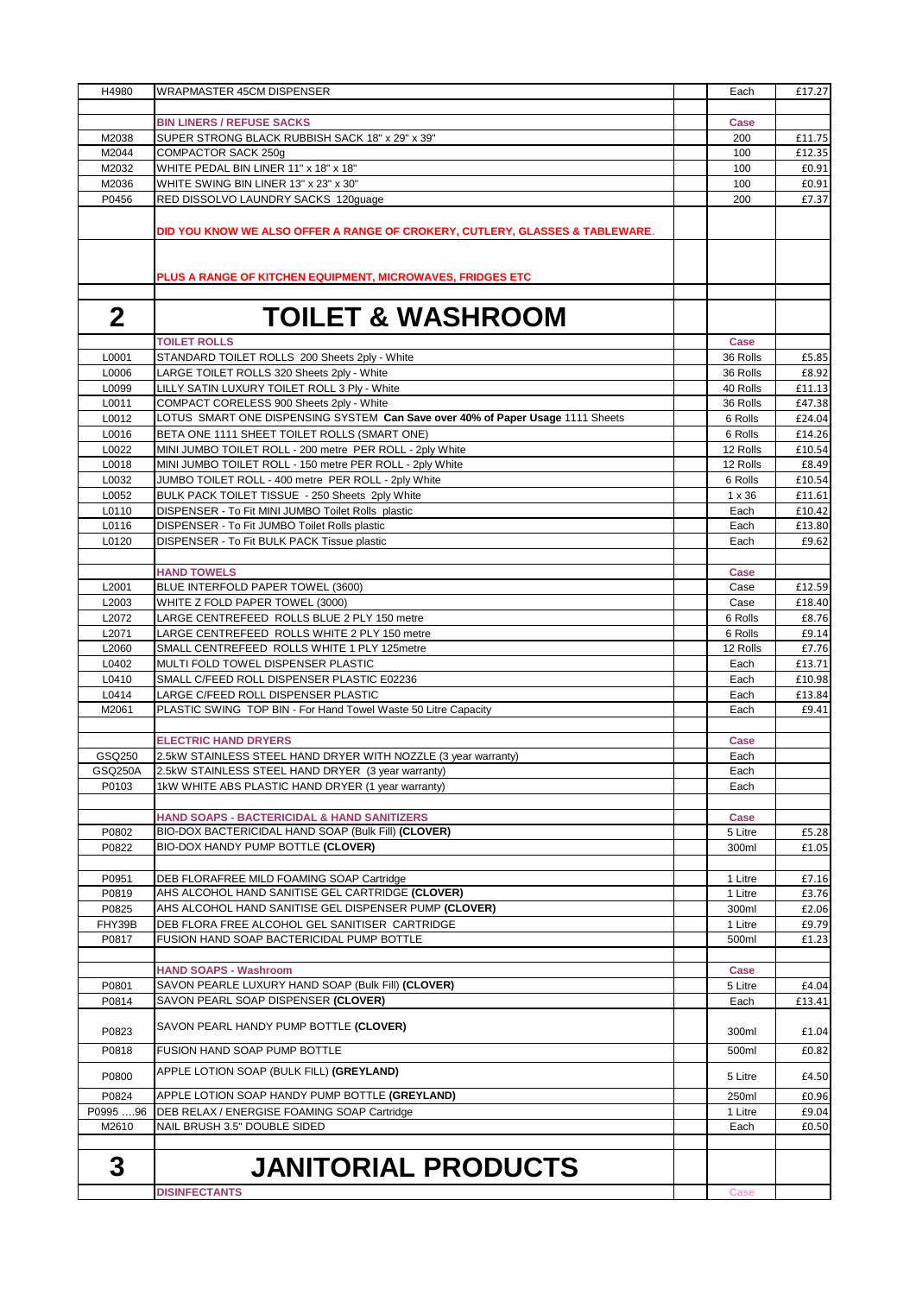| H4980             | <b>WRAPMASTER 45CM DISPENSER</b>                                                                        | Each                | £17.27           |
|-------------------|---------------------------------------------------------------------------------------------------------|---------------------|------------------|
|                   |                                                                                                         |                     |                  |
|                   | <b>BIN LINERS / REFUSE SACKS</b>                                                                        | Case                |                  |
| M2038<br>M2044    | SUPER STRONG BLACK RUBBISH SACK 18" x 29" x 39"<br>COMPACTOR SACK 250g                                  | 200<br>100          | £11.75<br>£12.35 |
| M2032             | WHITE PEDAL BIN LINER 11" x 18" x 18"                                                                   | 100                 | £0.91            |
| M2036             | WHITE SWING BIN LINER 13" x 23" x 30"                                                                   | 100                 | £0.91            |
| P0456             | RED DISSOLVO LAUNDRY SACKS 120guage                                                                     | 200                 | £7.37            |
|                   |                                                                                                         |                     |                  |
|                   | DID YOU KNOW WE ALSO OFFER A RANGE OF CROKERY, CUTLERY, GLASSES & TABLEWARE.                            |                     |                  |
|                   |                                                                                                         |                     |                  |
|                   |                                                                                                         |                     |                  |
|                   | PLUS A RANGE OF KITCHEN EQUIPMENT, MICROWAVES, FRIDGES ETC                                              |                     |                  |
|                   |                                                                                                         |                     |                  |
| $\mathbf 2$       | <b>TOILET &amp; WASHROOM</b>                                                                            |                     |                  |
|                   | <b>TOILET ROLLS</b>                                                                                     | Case                |                  |
| L0001             | STANDARD TOILET ROLLS 200 Sheets 2ply - White                                                           | 36 Rolls            | £5.85            |
| L0006             | LARGE TOILET ROLLS 320 Sheets 2ply - White                                                              | 36 Rolls            | £8.92            |
| L0099             | LILLY SATIN LUXURY TOILET ROLL 3 Ply - White                                                            | 40 Rolls            | £11.13           |
| L0011             | COMPACT CORELESS 900 Sheets 2ply - White                                                                | 36 Rolls            | £47.38           |
| L0012             | LOTUS SMART ONE DISPENSING SYSTEM Can Save over 40% of Paper Usage 1111 Sheets                          | 6 Rolls             | £24.04           |
| L0016             | BETA ONE 1111 SHEET TOILET ROLLS (SMART ONE)                                                            | 6 Rolls             | £14.26           |
| L0022             | MINI JUMBO TOILET ROLL - 200 metre PER ROLL - 2ply White                                                | 12 Rolls            | £10.54           |
| L0018             | MINI JUMBO TOILET ROLL - 150 metre PER ROLL - 2ply White                                                | 12 Rolls            | £8.49            |
| L0032<br>L0052    | JUMBO TOILET ROLL - 400 metre PER ROLL - 2ply White<br>BULK PACK TOILET TISSUE - 250 Sheets 2ply White  | 6 Rolls<br>1 x 36   | £10.54<br>£11.61 |
| L0110             | DISPENSER - To Fit MINI JUMBO Toilet Rolls plastic                                                      | Each                | £10.42           |
| L0116             | DISPENSER - To Fit JUMBO Toilet Rolls plastic                                                           | Each                | £13.80           |
| L0120             | DISPENSER - To Fit BULK PACK Tissue plastic                                                             | Each                | £9.62            |
|                   |                                                                                                         |                     |                  |
|                   | <b>HAND TOWELS</b>                                                                                      | Case                |                  |
| L2001             | BLUE INTERFOLD PAPER TOWEL (3600)                                                                       | Case                | £12.59           |
| L2003             | WHITE Z FOLD PAPER TOWEL (3000)                                                                         | Case                | £18.40           |
| L2072             | LARGE CENTREFEED ROLLS BLUE 2 PLY 150 metre                                                             | 6 Rolls             | £8.76            |
| L2071<br>L2060    | LARGE CENTREFEED ROLLS WHITE 2 PLY 150 metre<br>SMALL CENTREFEED ROLLS WHITE 1 PLY 125metre             | 6 Rolls<br>12 Rolls | £9.14<br>£7.76   |
| L0402             | MULTI FOLD TOWEL DISPENSER PLASTIC                                                                      | Each                | £13.71           |
| L0410             | SMALL C/FEED ROLL DISPENSER PLASTIC E02236                                                              | Each                | £10.98           |
| L0414             | LARGE C/FEED ROLL DISPENSER PLASTIC                                                                     | Each                | £13.84           |
| M2061             | PLASTIC SWING TOP BIN - For Hand Towel Waste 50 Litre Capacity                                          | Each                | £9.41            |
|                   |                                                                                                         |                     |                  |
|                   | <b>ELECTRIC HAND DRYERS</b>                                                                             | Case                |                  |
| GSQ250            | 2.5kW STAINLESS STEEL HAND DRYER WITH NOZZLE (3 year warranty)                                          | Each                |                  |
| GSQ250A           | 2.5kW STAINLESS STEEL HAND DRYER (3 year warranty)                                                      | Each                |                  |
| P0103             | 1kW WHITE ABS PLASTIC HAND DRYER (1 year warranty)                                                      | Each                |                  |
|                   | HAND SOAPS - BACTERICIDAL & HAND SANITIZERS                                                             | Case                |                  |
| P0802             | BIO-DOX BACTERICIDAL HAND SOAP (Bulk Fill) (CLOVER)                                                     | 5 Litre             | £5.28            |
| P0822             | BIO-DOX HANDY PUMP BOTTLE (CLOVER)                                                                      | 300ml               | £1.05            |
|                   |                                                                                                         |                     |                  |
| P0951             | DEB FLORAFREE MILD FOAMING SOAP Cartridge                                                               | 1 Litre             | £7.16            |
| P0819             | AHS ALCOHOL HAND SANITISE GEL CARTRIDGE (CLOVER)                                                        | 1 Litre             | £3.76            |
| P0825             | AHS ALCOHOL HAND SANITISE GEL DISPENSER PUMP (CLOVER)<br>DEB FLORA FREE ALCOHOL GEL SANITISER CARTRIDGE | 300ml               | £2.06<br>£9.79   |
| FHY39B<br>P0817   | FUSION HAND SOAP BACTERICIDAL PUMP BOTTLE                                                               | 1 Litre<br>500ml    | £1.23            |
|                   |                                                                                                         |                     |                  |
|                   | <b>HAND SOAPS - Washroom</b>                                                                            | Case                |                  |
| P0801             | SAVON PEARLE LUXURY HAND SOAP (Bulk Fill) (CLOVER)                                                      | 5 Litre             | £4.04            |
| P0814             | SAVON PEARL SOAP DISPENSER (CLOVER)                                                                     | Each                | £13.41           |
|                   |                                                                                                         |                     |                  |
| P0823             | SAVON PEARL HANDY PUMP BOTTLE (CLOVER)                                                                  | 300ml               | £1.04            |
| P0818             | FUSION HAND SOAP PUMP BOTTLE                                                                            | 500ml               | £0.82            |
| P0800             | APPLE LOTION SOAP (BULK FILL) (GREYLAND)                                                                | 5 Litre             | £4.50            |
|                   |                                                                                                         |                     |                  |
| P0824<br>P0995 96 | APPLE LOTION SOAP HANDY PUMP BOTTLE (GREYLAND)<br>DEB RELAX / ENERGISE FOAMING SOAP Cartridge           | 250ml<br>1 Litre    | £0.96<br>£9.04   |
| M2610             | NAIL BRUSH 3.5" DOUBLE SIDED                                                                            | Each                | £0.50            |
|                   |                                                                                                         |                     |                  |
|                   |                                                                                                         |                     |                  |
| 3                 | <b>JANITORIAL PRODUCTS</b>                                                                              |                     |                  |
|                   | <b>DISINFECTANTS</b>                                                                                    | Case                |                  |
|                   |                                                                                                         |                     |                  |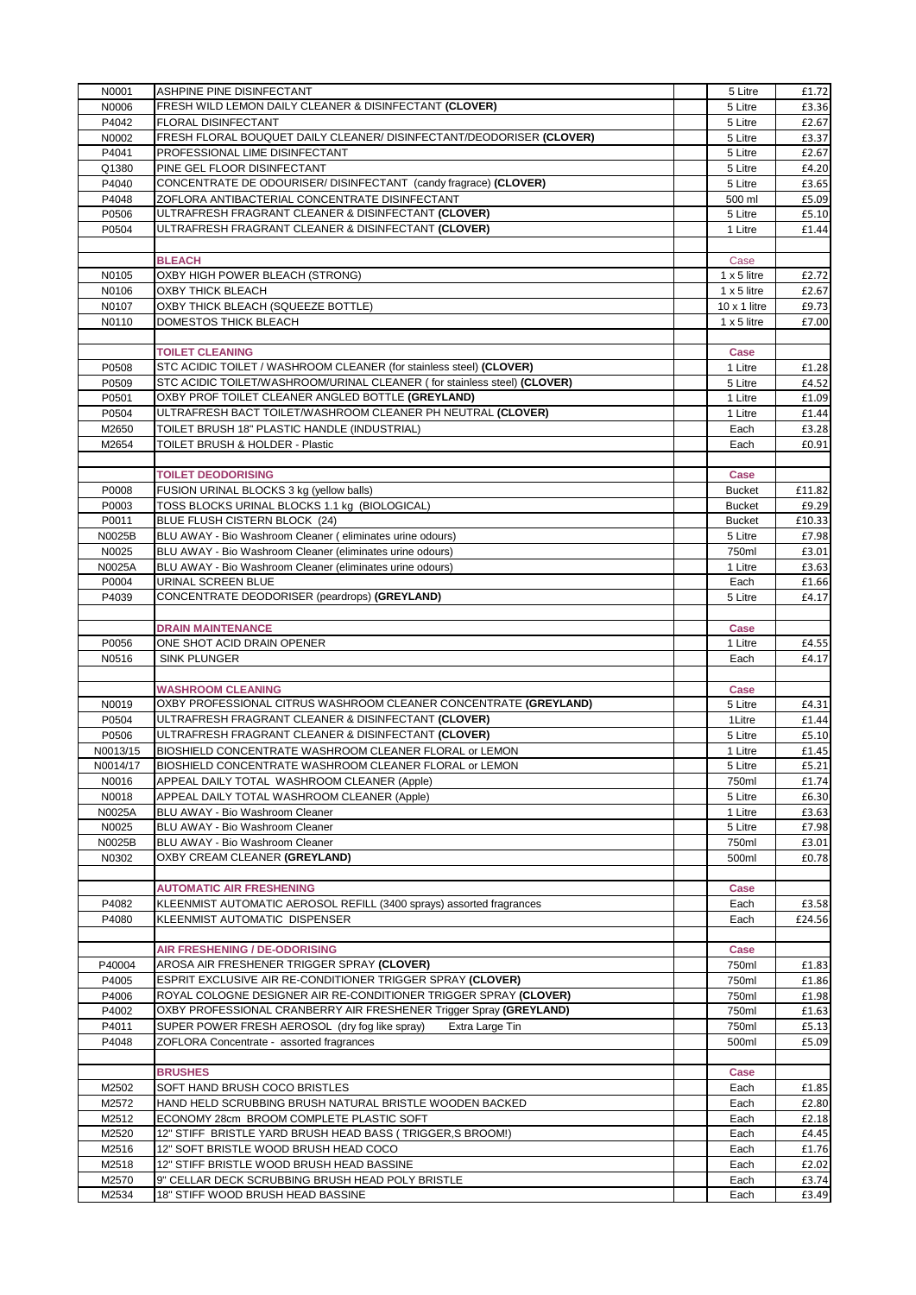| N0001    | ASHPINE PINE DISINFECTANT                                                | 5 Litre             | £1.72  |
|----------|--------------------------------------------------------------------------|---------------------|--------|
| N0006    | FRESH WILD LEMON DAILY CLEANER & DISINFECTANT (CLOVER)                   | 5 Litre             | £3.36  |
| P4042    | FLORAL DISINFECTANT                                                      | 5 Litre             | £2.67  |
| N0002    | FRESH FLORAL BOUQUET DAILY CLEANER/ DISINFECTANT/DEODORISER (CLOVER)     | 5 Litre             | £3.37  |
| P4041    | PROFESSIONAL LIME DISINFECTANT                                           | 5 Litre             | £2.67  |
| Q1380    | PINE GEL FLOOR DISINFECTANT                                              | 5 Litre             | £4.20  |
| P4040    | CONCENTRATE DE ODOURISER/ DISINFECTANT (candy fragrace) (CLOVER)         | 5 Litre             | £3.65  |
| P4048    | ZOFLORA ANTIBACTERIAL CONCENTRATE DISINFECTANT                           | 500 ml              | £5.09  |
|          | ULTRAFRESH FRAGRANT CLEANER & DISINFECTANT (CLOVER)                      |                     |        |
| P0506    |                                                                          | 5 Litre             | £5.10  |
| P0504    | ULTRAFRESH FRAGRANT CLEANER & DISINFECTANT (CLOVER)                      | 1 Litre             | £1.44  |
|          |                                                                          |                     |        |
|          | <b>BLEACH</b>                                                            | Case                |        |
| N0105    | OXBY HIGH POWER BLEACH (STRONG)                                          | $1 \times 5$ litre  | £2.72  |
| N0106    | OXBY THICK BLEACH                                                        | $1 \times 5$ litre  | £2.67  |
| N0107    | OXBY THICK BLEACH (SQUEEZE BOTTLE)                                       | $10 \times 1$ litre | £9.73  |
| N0110    | DOMESTOS THICK BLEACH                                                    | $1 \times 5$ litre  | £7.00  |
|          |                                                                          |                     |        |
|          | <b>TOILET CLEANING</b>                                                   | Case                |        |
| P0508    | STC ACIDIC TOILET / WASHROOM CLEANER (for stainless steel) (CLOVER)      | 1 Litre             | £1.28  |
| P0509    | STC ACIDIC TOILET/WASHROOM/URINAL CLEANER (for stainless steel) (CLOVER) | 5 Litre             | £4.52  |
| P0501    | OXBY PROF TOILET CLEANER ANGLED BOTTLE (GREYLAND)                        | 1 Litre             | £1.09  |
| P0504    | ULTRAFRESH BACT TOILET/WASHROOM CLEANER PH NEUTRAL (CLOVER)              | 1 Litre             | £1.44  |
| M2650    | TOILET BRUSH 18" PLASTIC HANDLE (INDUSTRIAL)                             | Each                | £3.28  |
| M2654    | TOILET BRUSH & HOLDER - Plastic                                          | Each                | £0.91  |
|          |                                                                          |                     |        |
|          |                                                                          |                     |        |
|          | <b>TOILET DEODORISING</b>                                                | Case                |        |
| P0008    | FUSION URINAL BLOCKS 3 kg (yellow balls)                                 | <b>Bucket</b>       | £11.82 |
| P0003    | TOSS BLOCKS URINAL BLOCKS 1.1 kg (BIOLOGICAL)                            | <b>Bucket</b>       | £9.29  |
| P0011    | BLUE FLUSH CISTERN BLOCK (24)                                            | <b>Bucket</b>       | £10.33 |
| N0025B   | BLU AWAY - Bio Washroom Cleaner (eliminates urine odours)                | 5 Litre             | £7.98  |
| N0025    | BLU AWAY - Bio Washroom Cleaner (eliminates urine odours)                | 750ml               | £3.01  |
| N0025A   | BLU AWAY - Bio Washroom Cleaner (eliminates urine odours)                | 1 Litre             | £3.63  |
| P0004    | URINAL SCREEN BLUE                                                       | Each                | £1.66  |
| P4039    | CONCENTRATE DEODORISER (peardrops) (GREYLAND)                            | 5 Litre             | £4.17  |
|          |                                                                          |                     |        |
|          | <b>DRAIN MAINTENANCE</b>                                                 | Case                |        |
| P0056    | ONE SHOT ACID DRAIN OPENER                                               | 1 Litre             | £4.55  |
| N0516    | <b>SINK PLUNGER</b>                                                      | Each                | £4.17  |
|          |                                                                          |                     |        |
|          | <b>WASHROOM CLEANING</b>                                                 | Case                |        |
| N0019    | OXBY PROFESSIONAL CITRUS WASHROOM CLEANER CONCENTRATE (GREYLAND)         |                     |        |
|          |                                                                          | 5 Litre             | £4.31  |
| P0504    | ULTRAFRESH FRAGRANT CLEANER & DISINFECTANT (CLOVER)                      | 1Litre              | £1.44  |
| P0506    | ULTRAFRESH FRAGRANT CLEANER & DISINFECTANT (CLOVER)                      | 5 Litre             | £5.10  |
| N0013/15 | BIOSHIELD CONCENTRATE WASHROOM CLEANER FLORAL or LEMON                   | 1 Litre             | £1.45  |
| N0014/17 | BIOSHIELD CONCENTRATE WASHROOM CLEANER FLORAL or LEMON                   | 5 Litre             | £5.21  |
| N0016    | APPEAL DAILY TOTAL WASHROOM CLEANER (Apple)                              | 750ml               | £1.74  |
| N0018    | APPEAL DAILY TOTAL WASHROOM CLEANER (Apple)                              | 5 Litre             | £6.30  |
| N0025A   | BLU AWAY - Bio Washroom Cleaner                                          | 1 Litre             | £3.63  |
| N0025    | BLU AWAY - Bio Washroom Cleaner                                          | 5 Litre             | £7.98  |
| N0025B   | BLU AWAY - Bio Washroom Cleaner                                          | 750ml               | £3.01  |
| N0302    | OXBY CREAM CLEANER (GREYLAND)                                            | 500ml               | £0.78  |
|          |                                                                          |                     |        |
|          | <b>AUTOMATIC AIR FRESHENING</b>                                          | Case                |        |
| P4082    | KLEENMIST AUTOMATIC AEROSOL REFILL (3400 sprays) assorted fragrances     | Each                | £3.58  |
| P4080    | KLEENMIST AUTOMATIC DISPENSER                                            | Each                | £24.56 |
|          |                                                                          |                     |        |
|          | <b>AIR FRESHENING / DE-ODORISING</b>                                     | Case                |        |
| P40004   | AROSA AIR FRESHENER TRIGGER SPRAY (CLOVER)                               | 750ml               | £1.83  |
|          | ESPRIT EXCLUSIVE AIR RE-CONDITIONER TRIGGER SPRAY (CLOVER)               |                     |        |
| P4005    |                                                                          | 750ml               | £1.86  |
| P4006    | ROYAL COLOGNE DESIGNER AIR RE-CONDITIONER TRIGGER SPRAY (CLOVER)         | 750ml               | £1.98  |
| P4002    | OXBY PROFESSIONAL CRANBERRY AIR FRESHENER Trigger Spray (GREYLAND)       | 750ml               | £1.63  |
| P4011    | SUPER POWER FRESH AEROSOL (dry fog like spray)<br>Extra Large Tin        | 750ml               | £5.13  |
| P4048    | ZOFLORA Concentrate - assorted fragrances                                | 500ml               | £5.09  |
|          |                                                                          |                     |        |
|          | <b>BRUSHES</b>                                                           | Case                |        |
| M2502    | SOFT HAND BRUSH COCO BRISTLES                                            | Each                | £1.85  |
| M2572    | HAND HELD SCRUBBING BRUSH NATURAL BRISTLE WOODEN BACKED                  | Each                | £2.80  |
| M2512    | ECONOMY 28cm BROOM COMPLETE PLASTIC SOFT                                 | Each                | £2.18  |
| M2520    | 12" STIFF BRISTLE YARD BRUSH HEAD BASS (TRIGGER, S BROOM!)               | Each                | £4.45  |
| M2516    | 12" SOFT BRISTLE WOOD BRUSH HEAD COCO                                    | Each                | £1.76  |
| M2518    | 12" STIFF BRISTLE WOOD BRUSH HEAD BASSINE                                | Each                | £2.02  |
| M2570    | 9" CELLAR DECK SCRUBBING BRUSH HEAD POLY BRISTLE                         | Each                | £3.74  |
| M2534    | 18" STIFF WOOD BRUSH HEAD BASSINE                                        | Each                | £3.49  |
|          |                                                                          |                     |        |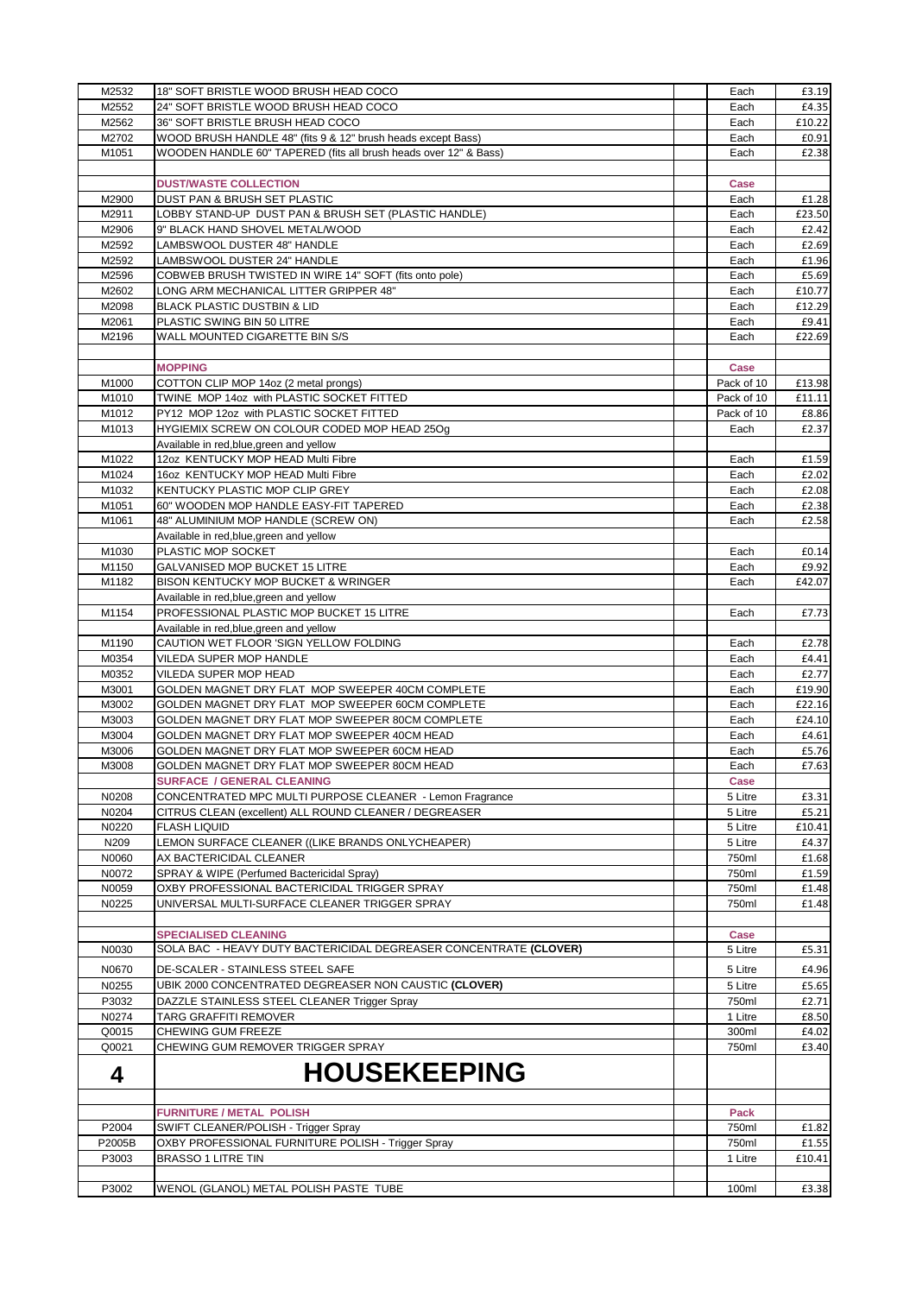| M2532  | 18" SOFT BRISTLE WOOD BRUSH HEAD COCO                             | Each        | £3.19  |
|--------|-------------------------------------------------------------------|-------------|--------|
| M2552  | 24" SOFT BRISTLE WOOD BRUSH HEAD COCO                             | Each        | £4.35  |
| M2562  | 36" SOFT BRISTLE BRUSH HEAD COCO                                  | Each        | £10.22 |
| M2702  | WOOD BRUSH HANDLE 48" (fits 9 & 12" brush heads except Bass)      | Each        | £0.91  |
| M1051  | WOODEN HANDLE 60" TAPERED (fits all brush heads over 12" & Bass)  | Each        | £2.38  |
|        |                                                                   |             |        |
|        | <b>DUST/WASTE COLLECTION</b>                                      | Case        |        |
| M2900  | DUST PAN & BRUSH SET PLASTIC                                      | Each        | £1.28  |
| M2911  | LOBBY STAND-UP DUST PAN & BRUSH SET (PLASTIC HANDLE)              | Each        | £23.50 |
| M2906  | 9" BLACK HAND SHOVEL METAL/WOOD                                   | Each        | £2.42  |
| M2592  | LAMBSWOOL DUSTER 48" HANDLE                                       | Each        | £2.69  |
| M2592  | LAMBSWOOL DUSTER 24" HANDLE                                       | Each        | £1.96  |
| M2596  | COBWEB BRUSH TWISTED IN WIRE 14" SOFT (fits onto pole)            | Each        | £5.69  |
| M2602  | LONG ARM MECHANICAL LITTER GRIPPER 48"                            | Each        | £10.77 |
| M2098  | BLACK PLASTIC DUSTBIN & LID                                       | Each        | £12.29 |
| M2061  | PLASTIC SWING BIN 50 LITRE                                        | Each        | £9.41  |
| M2196  | WALL MOUNTED CIGARETTE BIN S/S                                    | Each        | £22.69 |
|        |                                                                   |             |        |
|        | <b>MOPPING</b>                                                    | Case        |        |
| M1000  | COTTON CLIP MOP 14oz (2 metal prongs)                             | Pack of 10  | £13.98 |
| M1010  | TWINE MOP 14oz with PLASTIC SOCKET FITTED                         | Pack of 10  | £11.11 |
| M1012  | PY12 MOP 12oz with PLASTIC SOCKET FITTED                          | Pack of 10  | £8.86  |
| M1013  | HYGIEMIX SCREW ON COLOUR CODED MOP HEAD 25Og                      | Each        | £2.37  |
|        | Available in red, blue, green and yellow                          |             |        |
| M1022  | 12oz KENTUCKY MOP HEAD Multi Fibre                                | Each        | £1.59  |
| M1024  | 16oz KENTUCKY MOP HEAD Multi Fibre                                | Each        | £2.02  |
| M1032  | KENTUCKY PLASTIC MOP CLIP GREY                                    | Each        | £2.08  |
| M1051  | 60" WOODEN MOP HANDLE EASY-FIT TAPERED                            | Each        | £2.38  |
| M1061  | 48" ALUMINIUM MOP HANDLE (SCREW ON)                               | Each        | £2.58  |
|        | Available in red, blue, green and yellow                          |             |        |
| M1030  | PLASTIC MOP SOCKET                                                | Each        | £0.14  |
| M1150  | GALVANISED MOP BUCKET 15 LITRE                                    | Each        | £9.92  |
| M1182  | BISON KENTUCKY MOP BUCKET & WRINGER                               | Each        | £42.07 |
|        | Available in red, blue, green and yellow                          |             |        |
| M1154  | PROFESSIONAL PLASTIC MOP BUCKET 15 LITRE                          | Each        | £7.73  |
|        | Available in red, blue, green and yellow                          |             |        |
| M1190  | CAUTION WET FLOOR 'SIGN YELLOW FOLDING                            | Each        | £2.78  |
| M0354  | VILEDA SUPER MOP HANDLE                                           | Each        | £4.41  |
| M0352  | VILEDA SUPER MOP HEAD                                             | Each        | £2.77  |
| M3001  | GOLDEN MAGNET DRY FLAT MOP SWEEPER 40CM COMPLETE                  | Each        | £19.90 |
| M3002  | GOLDEN MAGNET DRY FLAT MOP SWEEPER 60CM COMPLETE                  | Each        | £22.16 |
| M3003  | GOLDEN MAGNET DRY FLAT MOP SWEEPER 80CM COMPLETE                  | Each        | £24.10 |
| M3004  | GOLDEN MAGNET DRY FLAT MOP SWEEPER 40CM HEAD                      | Each        | £4.61  |
| M3006  | GOLDEN MAGNET DRY FLAT MOP SWEEPER 60CM HEAD                      | Each        | £5.76  |
| M3008  | GOLDEN MAGNET DRY FLAT MOP SWEEPER 80CM HEAD                      | Each        | £7.63  |
|        | <b>SURFACE / GENERAL CLEANING</b>                                 | Case        |        |
| N0208  | CONCENTRATED MPC MULTI PURPOSE CLEANER - Lemon Fragrance          | 5 Litre     | £3.31  |
| N0204  | CITRUS CLEAN (excellent) ALL ROUND CLEANER / DEGREASER            | 5 Litre     | £5.21  |
| N0220  | <b>FLASH LIQUID</b>                                               | 5 Litre     | £10.41 |
| N209   | LEMON SURFACE CLEANER ((LIKE BRANDS ONLYCHEAPER)                  | 5 Litre     | £4.37  |
| N0060  | AX BACTERICIDAL CLEANER                                           | 750ml       | £1.68  |
| N0072  | SPRAY & WIPE (Perfumed Bactericidal Spray)                        | 750ml       | £1.59  |
| N0059  | OXBY PROFESSIONAL BACTERICIDAL TRIGGER SPRAY                      | 750ml       | £1.48  |
| N0225  | UNIVERSAL MULTI-SURFACE CLEANER TRIGGER SPRAY                     | 750ml       | £1.48  |
|        |                                                                   |             |        |
|        | <b>SPECIALISED CLEANING</b>                                       | <b>Case</b> |        |
| N0030  | SOLA BAC - HEAVY DUTY BACTERICIDAL DEGREASER CONCENTRATE (CLOVER) | 5 Litre     | £5.31  |
|        |                                                                   |             |        |
| N0670  | <b>DE-SCALER - STAINLESS STEEL SAFE</b>                           | 5 Litre     | £4.96  |
| N0255  | UBIK 2000 CONCENTRATED DEGREASER NON CAUSTIC (CLOVER)             | 5 Litre     | £5.65  |
| P3032  | DAZZLE STAINLESS STEEL CLEANER Trigger Spray                      | 750ml       | £2.71  |
| N0274  | TARG GRAFFITI REMOVER                                             | 1 Litre     | £8.50  |
| Q0015  | CHEWING GUM FREEZE                                                | 300ml       | £4.02  |
| Q0021  | CHEWING GUM REMOVER TRIGGER SPRAY                                 | 750ml       | £3.40  |
|        | <b>HOUSEKEEPING</b>                                               |             |        |
| 4      |                                                                   |             |        |
|        |                                                                   |             |        |
|        | <b>FURNITURE / METAL POLISH</b>                                   | Pack        |        |
| P2004  | SWIFT CLEANER/POLISH - Trigger Spray                              | 750ml       | £1.82  |
| P2005B | OXBY PROFESSIONAL FURNITURE POLISH - Trigger Spray                | 750ml       | £1.55  |
| P3003  | <b>BRASSO 1 LITRE TIN</b>                                         | 1 Litre     | £10.41 |
|        |                                                                   |             |        |
| P3002  | WENOL (GLANOL) METAL POLISH PASTE TUBE                            | 100ml       | £3.38  |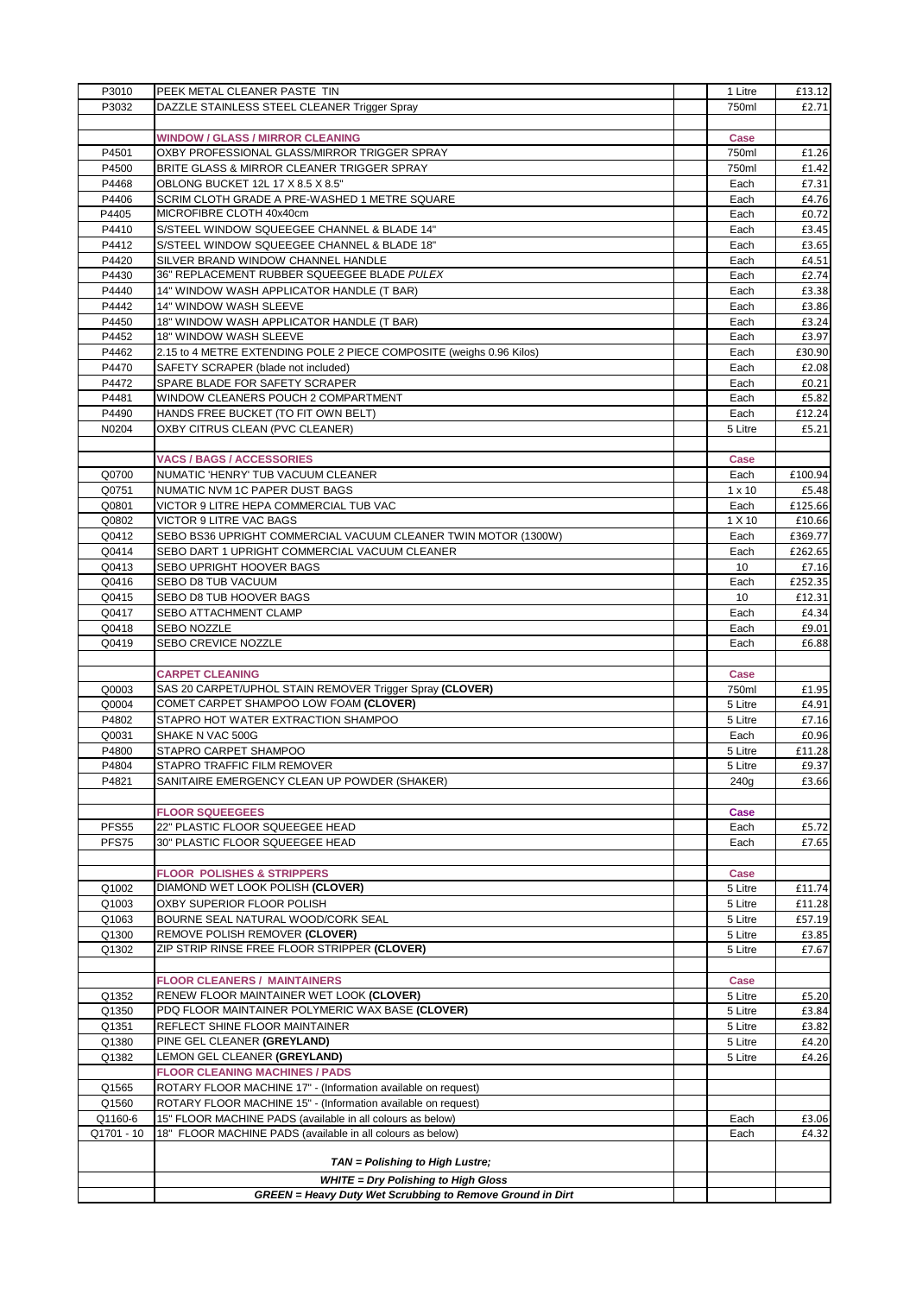| P3010          | PEEK METAL CLEANER PASTE TIN                                                                       | 1 Litre            | £13.12          |
|----------------|----------------------------------------------------------------------------------------------------|--------------------|-----------------|
| P3032          | DAZZLE STAINLESS STEEL CLEANER Trigger Spray                                                       | 750ml              | £2.71           |
|                |                                                                                                    |                    |                 |
|                | <b>WINDOW / GLASS / MIRROR CLEANING</b>                                                            | Case               |                 |
| P4501          | OXBY PROFESSIONAL GLASS/MIRROR TRIGGER SPRAY                                                       | 750ml              | £1.26           |
| P4500          | BRITE GLASS & MIRROR CLEANER TRIGGER SPRAY                                                         | 750ml              | £1.42           |
| P4468          | OBLONG BUCKET 12L 17 X 8.5 X 8.5"                                                                  | Each               | £7.31           |
| P4406          | SCRIM CLOTH GRADE A PRE-WASHED 1 METRE SQUARE                                                      | Each               | £4.76           |
| P4405          | MICROFIBRE CLOTH 40x40cm                                                                           | Each               | £0.72           |
| P4410          | S/STEEL WINDOW SQUEEGEE CHANNEL & BLADE 14"                                                        | Each               | £3.45           |
| P4412          | S/STEEL WINDOW SQUEEGEE CHANNEL & BLADE 18"                                                        | Each               | £3.65           |
| P4420          | SILVER BRAND WINDOW CHANNEL HANDLE                                                                 | Each               | £4.51           |
| P4430          | 36" REPLACEMENT RUBBER SQUEEGEE BLADE PULEX                                                        | Each               | £2.74           |
| P4440          | 14" WINDOW WASH APPLICATOR HANDLE (T BAR)                                                          | Each               | £3.38           |
| P4442          | 14" WINDOW WASH SLEEVE                                                                             | Each               | £3.86           |
| P4450          | 18" WINDOW WASH APPLICATOR HANDLE (T BAR)                                                          | Each               | £3.24           |
| P4452          | 18" WINDOW WASH SLEEVE                                                                             | Each               | £3.97           |
| P4462          | 2.15 to 4 METRE EXTENDING POLE 2 PIECE COMPOSITE (weighs 0.96 Kilos)                               | Each               | £30.90          |
| P4470          | SAFETY SCRAPER (blade not included)                                                                | Each               | £2.08           |
| P4472          | SPARE BLADE FOR SAFETY SCRAPER                                                                     | Each               | £0.21           |
| P4481          | WINDOW CLEANERS POUCH 2 COMPARTMENT                                                                | Each               | £5.82           |
| P4490          | HANDS FREE BUCKET (TO FIT OWN BELT)                                                                | Each               | £12.24          |
| N0204          | OXBY CITRUS CLEAN (PVC CLEANER)                                                                    | 5 Litre            | £5.21           |
|                |                                                                                                    |                    |                 |
|                | <b>VACS / BAGS / ACCESSORIES</b>                                                                   | Case               |                 |
| Q0700          | NUMATIC 'HENRY' TUB VACUUM CLEANER                                                                 | Each               | £100.94         |
| Q0751          | NUMATIC NVM 1C PAPER DUST BAGS                                                                     | $1 \times 10$      | £5.48           |
| Q0801          | VICTOR 9 LITRE HEPA COMMERCIAL TUB VAC                                                             | Each               | £125.66         |
| Q0802          | VICTOR 9 LITRE VAC BAGS                                                                            | 1 X 10             | £10.66          |
| Q0412          | SEBO BS36 UPRIGHT COMMERCIAL VACUUM CLEANER TWIN MOTOR (1300W)                                     | Each               | £369.77         |
| Q0414          | SEBO DART 1 UPRIGHT COMMERCIAL VACUUM CLEANER                                                      | Each               | £262.65         |
| Q0413          | SEBO UPRIGHT HOOVER BAGS                                                                           | 10                 | £7.16           |
| Q0416          | SEBO D8 TUB VACUUM                                                                                 | Each               | £252.35         |
| Q0415          | SEBO D8 TUB HOOVER BAGS                                                                            | 10                 | £12.31          |
| Q0417          | SEBO ATTACHMENT CLAMP                                                                              | Each               | £4.34           |
| Q0418          | SEBO NOZZLE                                                                                        | Each               | £9.01           |
| Q0419          | SEBO CREVICE NOZZLE                                                                                | Each               | £6.88           |
|                | <b>CARPET CLEANING</b>                                                                             |                    |                 |
|                |                                                                                                    | Case               |                 |
| Q0003<br>Q0004 | SAS 20 CARPET/UPHOL STAIN REMOVER Trigger Spray (CLOVER)<br>COMET CARPET SHAMPOO LOW FOAM (CLOVER) | 750ml              | £1.95           |
|                |                                                                                                    | 5 Litre            | £4.91           |
| P4802          | STAPRO HOT WATER EXTRACTION SHAMPOO                                                                | 5 Litre            | £7.16           |
| Q0031<br>P4800 | SHAKE N VAC 500G<br>STAPRO CARPET SHAMPOO                                                          | Each               | £0.96<br>£11.28 |
| P4804          | STAPRO TRAFFIC FILM REMOVER                                                                        | 5 Litre<br>5 Litre |                 |
|                | SANITAIRE EMERGENCY CLEAN UP POWDER (SHAKER)                                                       |                    | £9.37           |
| P4821          |                                                                                                    | 240g               | £3.66           |
|                | <b>FLOOR SQUEEGEES</b>                                                                             | Case               |                 |
| <b>PFS55</b>   | 22" PLASTIC FLOOR SQUEEGEE HEAD                                                                    | Each               | £5.72           |
| PFS75          | 30" PLASTIC FLOOR SQUEEGEE HEAD                                                                    |                    |                 |
|                |                                                                                                    | Each               | £7.65           |
|                |                                                                                                    |                    |                 |
| Q1002          | <b>FLOOR POLISHES &amp; STRIPPERS</b><br>DIAMOND WET LOOK POLISH (CLOVER)                          | Case<br>5 Litre    | £11.74          |
| Q1003          | OXBY SUPERIOR FLOOR POLISH                                                                         | 5 Litre            | £11.28          |
| Q1063          | BOURNE SEAL NATURAL WOOD/CORK SEAL                                                                 | 5 Litre            | £57.19          |
| Q1300          | REMOVE POLISH REMOVER (CLOVER)                                                                     | 5 Litre            | £3.85           |
| Q1302          | ZIP STRIP RINSE FREE FLOOR STRIPPER (CLOVER)                                                       | 5 Litre            | £7.67           |
|                |                                                                                                    |                    |                 |
|                | <b>FLOOR CLEANERS / MAINTAINERS</b>                                                                | Case               |                 |
| Q1352          | RENEW FLOOR MAINTAINER WET LOOK (CLOVER)                                                           | 5 Litre            | £5.20           |
| Q1350          | PDQ FLOOR MAINTAINER POLYMERIC WAX BASE (CLOVER)                                                   | 5 Litre            | £3.84           |
| Q1351          | REFLECT SHINE FLOOR MAINTAINER                                                                     | 5 Litre            | £3.82           |
| Q1380          | PINE GEL CLEANER (GREYLAND)                                                                        | 5 Litre            | £4.20           |
| Q1382          | LEMON GEL CLEANER (GREYLAND)                                                                       | 5 Litre            | £4.26           |
|                | <b>FLOOR CLEANING MACHINES / PADS</b>                                                              |                    |                 |
| Q1565          | ROTARY FLOOR MACHINE 17" - (Information available on request)                                      |                    |                 |
| Q1560          | ROTARY FLOOR MACHINE 15" - (Information available on request)                                      |                    |                 |
| Q1160-6        | 15" FLOOR MACHINE PADS (available in all colours as below)                                         | Each               | £3.06           |
| Q1701 - 10     | 18" FLOOR MACHINE PADS (available in all colours as below)                                         | Each               | £4.32           |
|                |                                                                                                    |                    |                 |
|                |                                                                                                    |                    |                 |
|                | TAN = Polishing to High Lustre;                                                                    |                    |                 |
|                | <b>WHITE = Dry Polishing to High Gloss</b>                                                         |                    |                 |
|                | <b>GREEN</b> = Heavy Duty Wet Scrubbing to Remove Ground in Dirt                                   |                    |                 |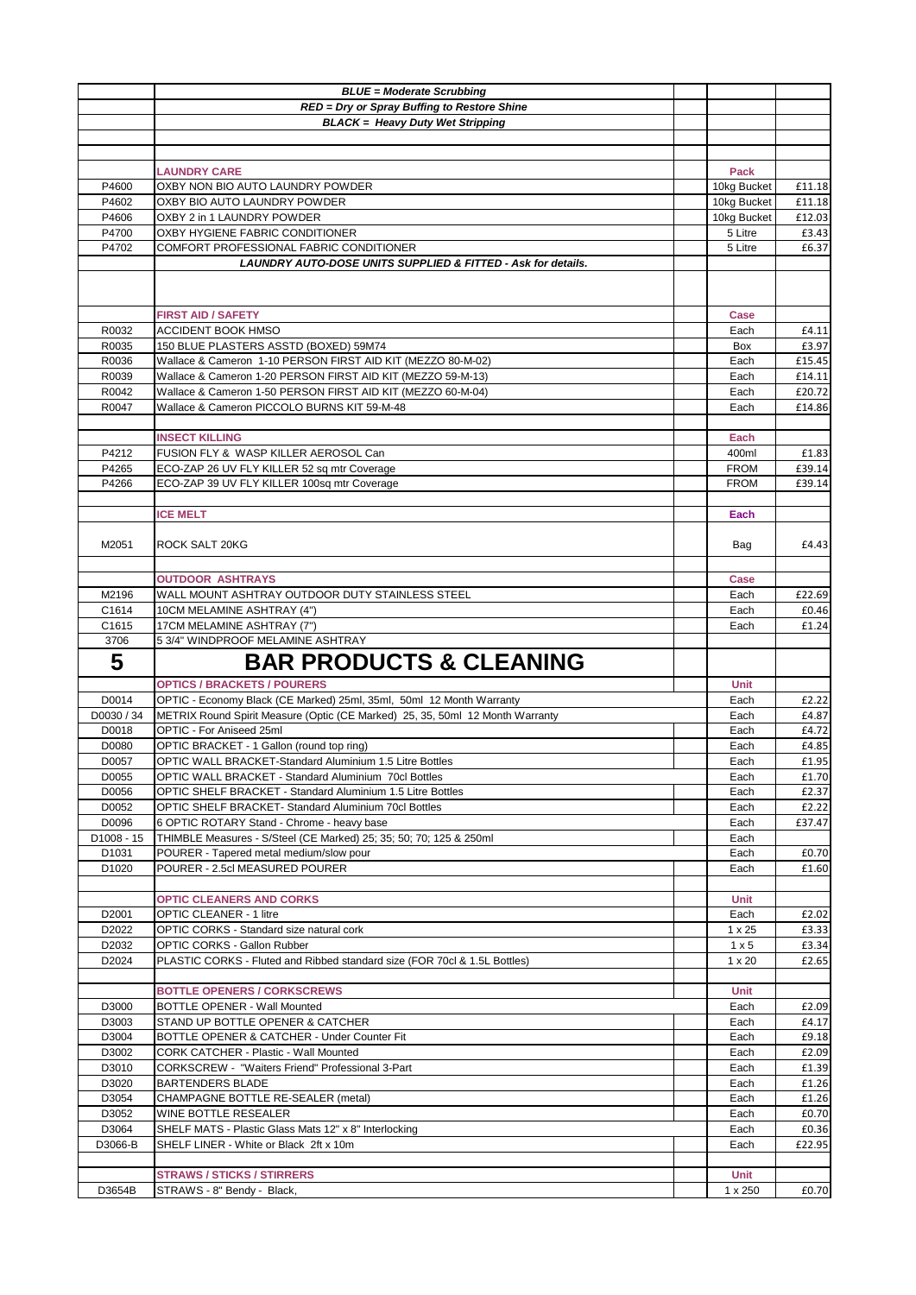|                        | <b>BLUE = Moderate Scrubbing</b>                                                                                                                      |               |                |
|------------------------|-------------------------------------------------------------------------------------------------------------------------------------------------------|---------------|----------------|
|                        | RED = Dry or Spray Buffing to Restore Shine                                                                                                           |               |                |
|                        | <b>BLACK = Heavy Duty Wet Stripping</b>                                                                                                               |               |                |
|                        |                                                                                                                                                       |               |                |
|                        |                                                                                                                                                       |               |                |
|                        | <b>LAUNDRY CARE</b>                                                                                                                                   | Pack          |                |
| P4600                  | OXBY NON BIO AUTO LAUNDRY POWDER                                                                                                                      | 10kg Bucket   | £11.18         |
| P4602                  | OXBY BIO AUTO LAUNDRY POWDER                                                                                                                          | 10kg Bucket   | £11.18         |
| P4606                  | OXBY 2 in 1 LAUNDRY POWDER                                                                                                                            | 10kg Bucket   | £12.03         |
| P4700                  | OXBY HYGIENE FABRIC CONDITIONER                                                                                                                       | 5 Litre       | £3.43          |
| P4702                  | COMFORT PROFESSIONAL FABRIC CONDITIONER                                                                                                               | 5 Litre       | £6.37          |
|                        | LAUNDRY AUTO-DOSE UNITS SUPPLIED & FITTED - Ask for details.                                                                                          |               |                |
|                        |                                                                                                                                                       |               |                |
|                        |                                                                                                                                                       |               |                |
|                        | <b>FIRST AID / SAFETY</b>                                                                                                                             | Case          |                |
| R0032                  | <b>ACCIDENT BOOK HMSO</b>                                                                                                                             | Each          | £4.11          |
| R0035                  | 150 BLUE PLASTERS ASSTD (BOXED) 59M74                                                                                                                 | Box           | £3.97          |
| R0036                  | Wallace & Cameron 1-10 PERSON FIRST AID KIT (MEZZO 80-M-02)                                                                                           | Each          | £15.45         |
| R0039                  | Wallace & Cameron 1-20 PERSON FIRST AID KIT (MEZZO 59-M-13)                                                                                           | Each          | £14.11         |
| R0042                  | Wallace & Cameron 1-50 PERSON FIRST AID KIT (MEZZO 60-M-04)                                                                                           | Each          | £20.72         |
| R0047                  | Wallace & Cameron PICCOLO BURNS KIT 59-M-48                                                                                                           | Each          | £14.86         |
|                        |                                                                                                                                                       |               |                |
|                        | <b>INSECT KILLING</b>                                                                                                                                 | Each          |                |
| P4212                  | FUSION FLY & WASP KILLER AEROSOL Can                                                                                                                  | 400ml         | £1.83          |
| P4265                  | ECO-ZAP 26 UV FLY KILLER 52 sq mtr Coverage                                                                                                           | <b>FROM</b>   | £39.14         |
| P4266                  | ECO-ZAP 39 UV FLY KILLER 100sq mtr Coverage                                                                                                           | <b>FROM</b>   | £39.14         |
|                        |                                                                                                                                                       |               |                |
|                        | <b>ICE MELT</b>                                                                                                                                       | Each          |                |
|                        |                                                                                                                                                       |               |                |
| M2051                  | ROCK SALT 20KG                                                                                                                                        | Bag           | £4.43          |
|                        |                                                                                                                                                       |               |                |
|                        | <b>OUTDOOR ASHTRAYS</b>                                                                                                                               | Case          |                |
| M2196                  | WALL MOUNT ASHTRAY OUTDOOR DUTY STAINLESS STEEL                                                                                                       | Each          | £22.69         |
| C1614                  | 10CM MELAMINE ASHTRAY (4")                                                                                                                            | Each          | £0.46          |
| C1615                  | 17CM MELAMINE ASHTRAY (7")                                                                                                                            | Each          | £1.24          |
| 3706                   | 5 3/4" WINDPROOF MELAMINE ASHTRAY                                                                                                                     |               |                |
|                        |                                                                                                                                                       |               |                |
| 5                      | <b>BAR PRODUCTS &amp; CLEANING</b>                                                                                                                    |               |                |
|                        |                                                                                                                                                       |               |                |
| D0014                  | <b>OPTICS / BRACKETS / POURERS</b>                                                                                                                    | Unit<br>Each  |                |
| D0030 / 34             | OPTIC - Economy Black (CE Marked) 25ml, 35ml, 50ml 12 Month Warranty<br>METRIX Round Spirit Measure (Optic (CE Marked) 25, 35, 50ml 12 Month Warranty | Each          | £2.22<br>£4.87 |
| D0018                  | OPTIC - For Aniseed 25ml                                                                                                                              | Each          | £4.72          |
| D0080                  | OPTIC BRACKET - 1 Gallon (round top ring)                                                                                                             | Each          | £4.85          |
| D0057                  | OPTIC WALL BRACKET-Standard Aluminium 1.5 Litre Bottles                                                                                               | Each          | £1.95          |
| D0055                  | OPTIC WALL BRACKET - Standard Aluminium 70cl Bottles                                                                                                  | Each          | £1.70          |
| D0056                  | <b>OPTIC SHELF BRACKET - Standard Aluminium 1.5 Litre Bottles</b>                                                                                     | Each          | £2.37          |
| D0052                  | OPTIC SHELF BRACKET- Standard Aluminium 70cl Bottles                                                                                                  | Each          | £2.22          |
| D0096                  | 6 OPTIC ROTARY Stand - Chrome - heavy base                                                                                                            | Each          | £37.47         |
| D <sub>1008</sub> - 15 | THIMBLE Measures - S/Steel (CE Marked) 25; 35; 50: 70; 125 & 250ml                                                                                    | Each          |                |
| D1031                  | POURER - Tapered metal medium/slow pour                                                                                                               | Each          | £0.70          |
| D <sub>1020</sub>      | POURER - 2.5cl MEASURED POURER                                                                                                                        | Each          | £1.60          |
|                        |                                                                                                                                                       |               |                |
|                        | <b>OPTIC CLEANERS AND CORKS</b>                                                                                                                       | Unit          |                |
| D2001                  | <b>OPTIC CLEANER - 1 litre</b>                                                                                                                        | Each          | £2.02          |
| D2022                  | OPTIC CORKS - Standard size natural cork                                                                                                              | 1 x 25        | £3.33          |
| D2032                  | OPTIC CORKS - Gallon Rubber                                                                                                                           | $1 \times 5$  | £3.34          |
| D2024                  | PLASTIC CORKS - Fluted and Ribbed standard size (FOR 70cl & 1.5L Bottles)                                                                             | $1 \times 20$ | £2.65          |
|                        |                                                                                                                                                       |               |                |
|                        | <b>BOTTLE OPENERS / CORKSCREWS</b>                                                                                                                    | Unit          |                |
| D3000                  | BOTTLE OPENER - Wall Mounted                                                                                                                          | Each          | £2.09          |
| D3003                  | STAND UP BOTTLE OPENER & CATCHER                                                                                                                      | Each          | £4.17          |
| D3004<br>D3002         | BOTTLE OPENER & CATCHER - Under Counter Fit<br>CORK CATCHER - Plastic - Wall Mounted                                                                  | Each<br>Each  | £9.18<br>£2.09 |
| D3010                  | CORKSCREW - "Waiters Friend" Professional 3-Part                                                                                                      | Each          | £1.39          |
| D3020                  | <b>BARTENDERS BLADE</b>                                                                                                                               | Each          | £1.26          |
| D3054                  | CHAMPAGNE BOTTLE RE-SEALER (metal)                                                                                                                    | Each          | £1.26          |
| D3052                  | WINE BOTTLE RESEALER                                                                                                                                  | Each          | £0.70          |
| D3064                  | SHELF MATS - Plastic Glass Mats 12" x 8" Interlocking                                                                                                 | Each          | £0.36          |
| D3066-B                | SHELF LINER - White or Black 2ft x 10m                                                                                                                | Each          | £22.95         |
|                        |                                                                                                                                                       |               |                |
|                        | <b>STRAWS / STICKS / STIRRERS</b>                                                                                                                     | Unit          |                |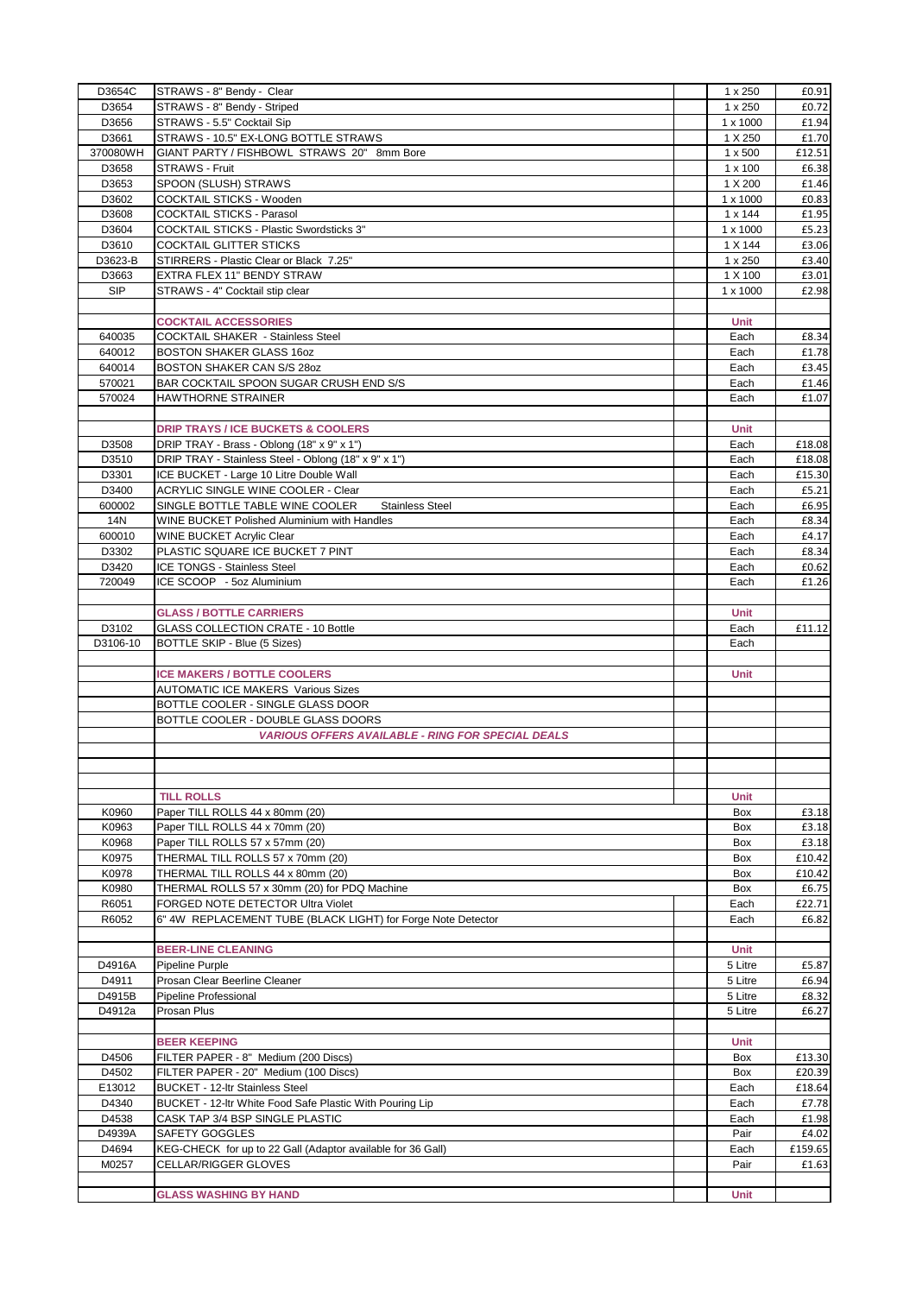| STRAWS - 8" Bendy - Striped<br>D3654<br>$1 \times 250$<br>£0.72<br>D3656<br>STRAWS - 5.5" Cocktail Sip<br>1 x 1000<br>£1.94<br>D3661<br>STRAWS - 10.5" EX-LONG BOTTLE STRAWS<br>1 X 250<br>£1.70<br>370080WH<br>GIANT PARTY / FISHBOWL STRAWS 20" 8mm Bore<br>$1 \times 500$<br>£12.51<br><b>STRAWS - Fruit</b><br>D3658<br>$1 \times 100$<br>£6.38<br>SPOON (SLUSH) STRAWS<br>1 X 200<br>£1.46<br>D3653<br>COCKTAIL STICKS - Wooden<br>D3602<br>1 x 1000<br>£0.83<br>COCKTAIL STICKS - Parasol<br>D3608<br>$1 \times 144$<br>£1.95<br><b>COCKTAIL STICKS - Plastic Swordsticks 3"</b><br>D3604<br>£5.23<br>$1 \times 1000$<br><b>COCKTAIL GLITTER STICKS</b><br>D3610<br>1 X 144<br>£3.06<br>D3623-B<br>STIRRERS - Plastic Clear or Black 7.25"<br>1 x 250<br>£3.40<br>EXTRA FLEX 11" BENDY STRAW<br>D3663<br>1 X 100<br>£3.01<br><b>SIP</b><br>STRAWS - 4" Cocktail stip clear<br>1 x 1000<br>£2.98<br><b>COCKTAIL ACCESSORIES</b><br><b>Unit</b><br>640035<br><b>COCKTAIL SHAKER - Stainless Steel</b><br>Each<br>£8.34<br>640012<br><b>BOSTON SHAKER GLASS 16oz</b><br>Each<br>£1.78<br>640014<br>BOSTON SHAKER CAN S/S 28oz<br>Each<br>£3.45<br>570021<br>BAR COCKTAIL SPOON SUGAR CRUSH END S/S<br>Each<br>£1.46<br>570024<br>HAWTHORNE STRAINER<br>Each<br>£1.07<br><b>DRIP TRAYS / ICE BUCKETS &amp; COOLERS</b><br>Unit<br>DRIP TRAY - Brass - Oblong (18" x 9" x 1")<br>D3508<br>Each<br>£18.08<br>D3510<br>DRIP TRAY - Stainless Steel - Oblong (18" x 9" x 1")<br>Each<br>£18.08<br>D3301<br>ICE BUCKET - Large 10 Litre Double Wall<br>Each<br>£15.30<br><b>ACRYLIC SINGLE WINE COOLER - Clear</b><br>D3400<br>Each<br>£5.21<br>600002<br>SINGLE BOTTLE TABLE WINE COOLER<br><b>Stainless Steel</b><br>Each<br>£6.95<br>14N<br>WINE BUCKET Polished Aluminium with Handles<br>Each<br>£8.34<br>600010<br>WINE BUCKET Acrylic Clear<br>Each<br>£4.17<br>PLASTIC SQUARE ICE BUCKET 7 PINT<br>D3302<br>Each<br>£8.34<br>D3420<br>ICE TONGS - Stainless Steel<br>Each<br>£0.62<br>720049<br>ICE SCOOP - 5oz Aluminium<br>Each<br>£1.26<br><b>GLASS / BOTTLE CARRIERS</b><br>Unit<br><b>GLASS COLLECTION CRATE - 10 Bottle</b><br>D3102<br>Each<br>£11.12<br>D3106-10<br>BOTTLE SKIP - Blue (5 Sizes)<br>Each<br><b>ICE MAKERS / BOTTLE COOLERS</b><br>Unit<br><b>AUTOMATIC ICE MAKERS Various Sizes</b><br>BOTTLE COOLER - SINGLE GLASS DOOR<br>BOTTLE COOLER - DOUBLE GLASS DOORS<br><b>VARIOUS OFFERS AVAILABLE - RING FOR SPECIAL DEALS</b><br><b>TILL ROLLS</b><br>Unit<br>K0960<br>Paper TILL ROLLS 44 x 80mm (20)<br>£3.18<br>Box<br>K0963<br>Paper TILL ROLLS 44 x 70mm (20)<br>Box<br>£3.18<br>K0968<br>Paper TILL ROLLS 57 x 57mm (20)<br>Box<br>£3.18<br>K0975<br>THERMAL TILL ROLLS 57 x 70mm (20)<br>Box<br>£10.42<br>THERMAL TILL ROLLS 44 x 80mm (20)<br>K0978<br>Box<br>£10.42<br>K0980<br>THERMAL ROLLS 57 x 30mm (20) for PDQ Machine<br>Box<br>£6.75<br>R6051<br>FORGED NOTE DETECTOR Ultra Violet<br>Each<br>£22.71<br>6" 4W REPLACEMENT TUBE (BLACK LIGHT) for Forge Note Detector<br>R6052<br>Each<br>£6.82<br><b>BEER-LINE CLEANING</b><br><b>Unit</b><br>5 Litre<br>D4916A<br>Pipeline Purple<br>£5.87<br>D4911<br>Prosan Clear Beerline Cleaner<br>5 Litre<br>£6.94<br>D4915B<br>Pipeline Professional<br>5 Litre<br>£8.32<br>Prosan Plus<br>D4912a<br>5 Litre<br>£6.27<br><b>BEER KEEPING</b><br>Unit<br>D4506<br>FILTER PAPER - 8" Medium (200 Discs)<br>Box<br>£13.30<br>D4502<br>FILTER PAPER - 20" Medium (100 Discs)<br>Box<br>£20.39<br>E13012<br><b>BUCKET - 12-Itr Stainless Steel</b><br>Each<br>£18.64<br>D4340<br>BUCKET - 12-Itr White Food Safe Plastic With Pouring Lip<br>Each<br>£7.78<br>D4538<br>CASK TAP 3/4 BSP SINGLE PLASTIC<br>Each<br>£1.98<br>D4939A<br>SAFETY GOGGLES<br>Pair<br>£4.02<br>D4694<br>KEG-CHECK for up to 22 Gall (Adaptor available for 36 Gall)<br>£159.65<br>Each<br>M0257<br>CELLAR/RIGGER GLOVES<br>Pair<br>£1.63<br><b>GLASS WASHING BY HAND</b><br>Unit | D3654C | STRAWS - 8" Bendy - Clear | 1 x 250 | £0.91 |
|-----------------------------------------------------------------------------------------------------------------------------------------------------------------------------------------------------------------------------------------------------------------------------------------------------------------------------------------------------------------------------------------------------------------------------------------------------------------------------------------------------------------------------------------------------------------------------------------------------------------------------------------------------------------------------------------------------------------------------------------------------------------------------------------------------------------------------------------------------------------------------------------------------------------------------------------------------------------------------------------------------------------------------------------------------------------------------------------------------------------------------------------------------------------------------------------------------------------------------------------------------------------------------------------------------------------------------------------------------------------------------------------------------------------------------------------------------------------------------------------------------------------------------------------------------------------------------------------------------------------------------------------------------------------------------------------------------------------------------------------------------------------------------------------------------------------------------------------------------------------------------------------------------------------------------------------------------------------------------------------------------------------------------------------------------------------------------------------------------------------------------------------------------------------------------------------------------------------------------------------------------------------------------------------------------------------------------------------------------------------------------------------------------------------------------------------------------------------------------------------------------------------------------------------------------------------------------------------------------------------------------------------------------------------------------------------------------------------------------------------------------------------------------------------------------------------------------------------------------------------------------------------------------------------------------------------------------------------------------------------------------------------------------------------------------------------------------------------------------------------------------------------------------------------------------------------------------------------------------------------------------------------------------------------------------------------------------------------------------------------------------------------------------------------------------------------------------------------------------------------------------------------------------------------------------------------------------------------------------------------------------------------------------------------------------------------------------------------------------------------------------------------------------------------------------------------------------------------------------------------------------------------------------------------------------------------|--------|---------------------------|---------|-------|
|                                                                                                                                                                                                                                                                                                                                                                                                                                                                                                                                                                                                                                                                                                                                                                                                                                                                                                                                                                                                                                                                                                                                                                                                                                                                                                                                                                                                                                                                                                                                                                                                                                                                                                                                                                                                                                                                                                                                                                                                                                                                                                                                                                                                                                                                                                                                                                                                                                                                                                                                                                                                                                                                                                                                                                                                                                                                                                                                                                                                                                                                                                                                                                                                                                                                                                                                                                                                                                                                                                                                                                                                                                                                                                                                                                                                                                                                                                                                         |        |                           |         |       |
|                                                                                                                                                                                                                                                                                                                                                                                                                                                                                                                                                                                                                                                                                                                                                                                                                                                                                                                                                                                                                                                                                                                                                                                                                                                                                                                                                                                                                                                                                                                                                                                                                                                                                                                                                                                                                                                                                                                                                                                                                                                                                                                                                                                                                                                                                                                                                                                                                                                                                                                                                                                                                                                                                                                                                                                                                                                                                                                                                                                                                                                                                                                                                                                                                                                                                                                                                                                                                                                                                                                                                                                                                                                                                                                                                                                                                                                                                                                                         |        |                           |         |       |
|                                                                                                                                                                                                                                                                                                                                                                                                                                                                                                                                                                                                                                                                                                                                                                                                                                                                                                                                                                                                                                                                                                                                                                                                                                                                                                                                                                                                                                                                                                                                                                                                                                                                                                                                                                                                                                                                                                                                                                                                                                                                                                                                                                                                                                                                                                                                                                                                                                                                                                                                                                                                                                                                                                                                                                                                                                                                                                                                                                                                                                                                                                                                                                                                                                                                                                                                                                                                                                                                                                                                                                                                                                                                                                                                                                                                                                                                                                                                         |        |                           |         |       |
|                                                                                                                                                                                                                                                                                                                                                                                                                                                                                                                                                                                                                                                                                                                                                                                                                                                                                                                                                                                                                                                                                                                                                                                                                                                                                                                                                                                                                                                                                                                                                                                                                                                                                                                                                                                                                                                                                                                                                                                                                                                                                                                                                                                                                                                                                                                                                                                                                                                                                                                                                                                                                                                                                                                                                                                                                                                                                                                                                                                                                                                                                                                                                                                                                                                                                                                                                                                                                                                                                                                                                                                                                                                                                                                                                                                                                                                                                                                                         |        |                           |         |       |
|                                                                                                                                                                                                                                                                                                                                                                                                                                                                                                                                                                                                                                                                                                                                                                                                                                                                                                                                                                                                                                                                                                                                                                                                                                                                                                                                                                                                                                                                                                                                                                                                                                                                                                                                                                                                                                                                                                                                                                                                                                                                                                                                                                                                                                                                                                                                                                                                                                                                                                                                                                                                                                                                                                                                                                                                                                                                                                                                                                                                                                                                                                                                                                                                                                                                                                                                                                                                                                                                                                                                                                                                                                                                                                                                                                                                                                                                                                                                         |        |                           |         |       |
|                                                                                                                                                                                                                                                                                                                                                                                                                                                                                                                                                                                                                                                                                                                                                                                                                                                                                                                                                                                                                                                                                                                                                                                                                                                                                                                                                                                                                                                                                                                                                                                                                                                                                                                                                                                                                                                                                                                                                                                                                                                                                                                                                                                                                                                                                                                                                                                                                                                                                                                                                                                                                                                                                                                                                                                                                                                                                                                                                                                                                                                                                                                                                                                                                                                                                                                                                                                                                                                                                                                                                                                                                                                                                                                                                                                                                                                                                                                                         |        |                           |         |       |
|                                                                                                                                                                                                                                                                                                                                                                                                                                                                                                                                                                                                                                                                                                                                                                                                                                                                                                                                                                                                                                                                                                                                                                                                                                                                                                                                                                                                                                                                                                                                                                                                                                                                                                                                                                                                                                                                                                                                                                                                                                                                                                                                                                                                                                                                                                                                                                                                                                                                                                                                                                                                                                                                                                                                                                                                                                                                                                                                                                                                                                                                                                                                                                                                                                                                                                                                                                                                                                                                                                                                                                                                                                                                                                                                                                                                                                                                                                                                         |        |                           |         |       |
|                                                                                                                                                                                                                                                                                                                                                                                                                                                                                                                                                                                                                                                                                                                                                                                                                                                                                                                                                                                                                                                                                                                                                                                                                                                                                                                                                                                                                                                                                                                                                                                                                                                                                                                                                                                                                                                                                                                                                                                                                                                                                                                                                                                                                                                                                                                                                                                                                                                                                                                                                                                                                                                                                                                                                                                                                                                                                                                                                                                                                                                                                                                                                                                                                                                                                                                                                                                                                                                                                                                                                                                                                                                                                                                                                                                                                                                                                                                                         |        |                           |         |       |
|                                                                                                                                                                                                                                                                                                                                                                                                                                                                                                                                                                                                                                                                                                                                                                                                                                                                                                                                                                                                                                                                                                                                                                                                                                                                                                                                                                                                                                                                                                                                                                                                                                                                                                                                                                                                                                                                                                                                                                                                                                                                                                                                                                                                                                                                                                                                                                                                                                                                                                                                                                                                                                                                                                                                                                                                                                                                                                                                                                                                                                                                                                                                                                                                                                                                                                                                                                                                                                                                                                                                                                                                                                                                                                                                                                                                                                                                                                                                         |        |                           |         |       |
|                                                                                                                                                                                                                                                                                                                                                                                                                                                                                                                                                                                                                                                                                                                                                                                                                                                                                                                                                                                                                                                                                                                                                                                                                                                                                                                                                                                                                                                                                                                                                                                                                                                                                                                                                                                                                                                                                                                                                                                                                                                                                                                                                                                                                                                                                                                                                                                                                                                                                                                                                                                                                                                                                                                                                                                                                                                                                                                                                                                                                                                                                                                                                                                                                                                                                                                                                                                                                                                                                                                                                                                                                                                                                                                                                                                                                                                                                                                                         |        |                           |         |       |
|                                                                                                                                                                                                                                                                                                                                                                                                                                                                                                                                                                                                                                                                                                                                                                                                                                                                                                                                                                                                                                                                                                                                                                                                                                                                                                                                                                                                                                                                                                                                                                                                                                                                                                                                                                                                                                                                                                                                                                                                                                                                                                                                                                                                                                                                                                                                                                                                                                                                                                                                                                                                                                                                                                                                                                                                                                                                                                                                                                                                                                                                                                                                                                                                                                                                                                                                                                                                                                                                                                                                                                                                                                                                                                                                                                                                                                                                                                                                         |        |                           |         |       |
|                                                                                                                                                                                                                                                                                                                                                                                                                                                                                                                                                                                                                                                                                                                                                                                                                                                                                                                                                                                                                                                                                                                                                                                                                                                                                                                                                                                                                                                                                                                                                                                                                                                                                                                                                                                                                                                                                                                                                                                                                                                                                                                                                                                                                                                                                                                                                                                                                                                                                                                                                                                                                                                                                                                                                                                                                                                                                                                                                                                                                                                                                                                                                                                                                                                                                                                                                                                                                                                                                                                                                                                                                                                                                                                                                                                                                                                                                                                                         |        |                           |         |       |
|                                                                                                                                                                                                                                                                                                                                                                                                                                                                                                                                                                                                                                                                                                                                                                                                                                                                                                                                                                                                                                                                                                                                                                                                                                                                                                                                                                                                                                                                                                                                                                                                                                                                                                                                                                                                                                                                                                                                                                                                                                                                                                                                                                                                                                                                                                                                                                                                                                                                                                                                                                                                                                                                                                                                                                                                                                                                                                                                                                                                                                                                                                                                                                                                                                                                                                                                                                                                                                                                                                                                                                                                                                                                                                                                                                                                                                                                                                                                         |        |                           |         |       |
|                                                                                                                                                                                                                                                                                                                                                                                                                                                                                                                                                                                                                                                                                                                                                                                                                                                                                                                                                                                                                                                                                                                                                                                                                                                                                                                                                                                                                                                                                                                                                                                                                                                                                                                                                                                                                                                                                                                                                                                                                                                                                                                                                                                                                                                                                                                                                                                                                                                                                                                                                                                                                                                                                                                                                                                                                                                                                                                                                                                                                                                                                                                                                                                                                                                                                                                                                                                                                                                                                                                                                                                                                                                                                                                                                                                                                                                                                                                                         |        |                           |         |       |
|                                                                                                                                                                                                                                                                                                                                                                                                                                                                                                                                                                                                                                                                                                                                                                                                                                                                                                                                                                                                                                                                                                                                                                                                                                                                                                                                                                                                                                                                                                                                                                                                                                                                                                                                                                                                                                                                                                                                                                                                                                                                                                                                                                                                                                                                                                                                                                                                                                                                                                                                                                                                                                                                                                                                                                                                                                                                                                                                                                                                                                                                                                                                                                                                                                                                                                                                                                                                                                                                                                                                                                                                                                                                                                                                                                                                                                                                                                                                         |        |                           |         |       |
|                                                                                                                                                                                                                                                                                                                                                                                                                                                                                                                                                                                                                                                                                                                                                                                                                                                                                                                                                                                                                                                                                                                                                                                                                                                                                                                                                                                                                                                                                                                                                                                                                                                                                                                                                                                                                                                                                                                                                                                                                                                                                                                                                                                                                                                                                                                                                                                                                                                                                                                                                                                                                                                                                                                                                                                                                                                                                                                                                                                                                                                                                                                                                                                                                                                                                                                                                                                                                                                                                                                                                                                                                                                                                                                                                                                                                                                                                                                                         |        |                           |         |       |
|                                                                                                                                                                                                                                                                                                                                                                                                                                                                                                                                                                                                                                                                                                                                                                                                                                                                                                                                                                                                                                                                                                                                                                                                                                                                                                                                                                                                                                                                                                                                                                                                                                                                                                                                                                                                                                                                                                                                                                                                                                                                                                                                                                                                                                                                                                                                                                                                                                                                                                                                                                                                                                                                                                                                                                                                                                                                                                                                                                                                                                                                                                                                                                                                                                                                                                                                                                                                                                                                                                                                                                                                                                                                                                                                                                                                                                                                                                                                         |        |                           |         |       |
|                                                                                                                                                                                                                                                                                                                                                                                                                                                                                                                                                                                                                                                                                                                                                                                                                                                                                                                                                                                                                                                                                                                                                                                                                                                                                                                                                                                                                                                                                                                                                                                                                                                                                                                                                                                                                                                                                                                                                                                                                                                                                                                                                                                                                                                                                                                                                                                                                                                                                                                                                                                                                                                                                                                                                                                                                                                                                                                                                                                                                                                                                                                                                                                                                                                                                                                                                                                                                                                                                                                                                                                                                                                                                                                                                                                                                                                                                                                                         |        |                           |         |       |
|                                                                                                                                                                                                                                                                                                                                                                                                                                                                                                                                                                                                                                                                                                                                                                                                                                                                                                                                                                                                                                                                                                                                                                                                                                                                                                                                                                                                                                                                                                                                                                                                                                                                                                                                                                                                                                                                                                                                                                                                                                                                                                                                                                                                                                                                                                                                                                                                                                                                                                                                                                                                                                                                                                                                                                                                                                                                                                                                                                                                                                                                                                                                                                                                                                                                                                                                                                                                                                                                                                                                                                                                                                                                                                                                                                                                                                                                                                                                         |        |                           |         |       |
|                                                                                                                                                                                                                                                                                                                                                                                                                                                                                                                                                                                                                                                                                                                                                                                                                                                                                                                                                                                                                                                                                                                                                                                                                                                                                                                                                                                                                                                                                                                                                                                                                                                                                                                                                                                                                                                                                                                                                                                                                                                                                                                                                                                                                                                                                                                                                                                                                                                                                                                                                                                                                                                                                                                                                                                                                                                                                                                                                                                                                                                                                                                                                                                                                                                                                                                                                                                                                                                                                                                                                                                                                                                                                                                                                                                                                                                                                                                                         |        |                           |         |       |
|                                                                                                                                                                                                                                                                                                                                                                                                                                                                                                                                                                                                                                                                                                                                                                                                                                                                                                                                                                                                                                                                                                                                                                                                                                                                                                                                                                                                                                                                                                                                                                                                                                                                                                                                                                                                                                                                                                                                                                                                                                                                                                                                                                                                                                                                                                                                                                                                                                                                                                                                                                                                                                                                                                                                                                                                                                                                                                                                                                                                                                                                                                                                                                                                                                                                                                                                                                                                                                                                                                                                                                                                                                                                                                                                                                                                                                                                                                                                         |        |                           |         |       |
|                                                                                                                                                                                                                                                                                                                                                                                                                                                                                                                                                                                                                                                                                                                                                                                                                                                                                                                                                                                                                                                                                                                                                                                                                                                                                                                                                                                                                                                                                                                                                                                                                                                                                                                                                                                                                                                                                                                                                                                                                                                                                                                                                                                                                                                                                                                                                                                                                                                                                                                                                                                                                                                                                                                                                                                                                                                                                                                                                                                                                                                                                                                                                                                                                                                                                                                                                                                                                                                                                                                                                                                                                                                                                                                                                                                                                                                                                                                                         |        |                           |         |       |
|                                                                                                                                                                                                                                                                                                                                                                                                                                                                                                                                                                                                                                                                                                                                                                                                                                                                                                                                                                                                                                                                                                                                                                                                                                                                                                                                                                                                                                                                                                                                                                                                                                                                                                                                                                                                                                                                                                                                                                                                                                                                                                                                                                                                                                                                                                                                                                                                                                                                                                                                                                                                                                                                                                                                                                                                                                                                                                                                                                                                                                                                                                                                                                                                                                                                                                                                                                                                                                                                                                                                                                                                                                                                                                                                                                                                                                                                                                                                         |        |                           |         |       |
|                                                                                                                                                                                                                                                                                                                                                                                                                                                                                                                                                                                                                                                                                                                                                                                                                                                                                                                                                                                                                                                                                                                                                                                                                                                                                                                                                                                                                                                                                                                                                                                                                                                                                                                                                                                                                                                                                                                                                                                                                                                                                                                                                                                                                                                                                                                                                                                                                                                                                                                                                                                                                                                                                                                                                                                                                                                                                                                                                                                                                                                                                                                                                                                                                                                                                                                                                                                                                                                                                                                                                                                                                                                                                                                                                                                                                                                                                                                                         |        |                           |         |       |
|                                                                                                                                                                                                                                                                                                                                                                                                                                                                                                                                                                                                                                                                                                                                                                                                                                                                                                                                                                                                                                                                                                                                                                                                                                                                                                                                                                                                                                                                                                                                                                                                                                                                                                                                                                                                                                                                                                                                                                                                                                                                                                                                                                                                                                                                                                                                                                                                                                                                                                                                                                                                                                                                                                                                                                                                                                                                                                                                                                                                                                                                                                                                                                                                                                                                                                                                                                                                                                                                                                                                                                                                                                                                                                                                                                                                                                                                                                                                         |        |                           |         |       |
|                                                                                                                                                                                                                                                                                                                                                                                                                                                                                                                                                                                                                                                                                                                                                                                                                                                                                                                                                                                                                                                                                                                                                                                                                                                                                                                                                                                                                                                                                                                                                                                                                                                                                                                                                                                                                                                                                                                                                                                                                                                                                                                                                                                                                                                                                                                                                                                                                                                                                                                                                                                                                                                                                                                                                                                                                                                                                                                                                                                                                                                                                                                                                                                                                                                                                                                                                                                                                                                                                                                                                                                                                                                                                                                                                                                                                                                                                                                                         |        |                           |         |       |
|                                                                                                                                                                                                                                                                                                                                                                                                                                                                                                                                                                                                                                                                                                                                                                                                                                                                                                                                                                                                                                                                                                                                                                                                                                                                                                                                                                                                                                                                                                                                                                                                                                                                                                                                                                                                                                                                                                                                                                                                                                                                                                                                                                                                                                                                                                                                                                                                                                                                                                                                                                                                                                                                                                                                                                                                                                                                                                                                                                                                                                                                                                                                                                                                                                                                                                                                                                                                                                                                                                                                                                                                                                                                                                                                                                                                                                                                                                                                         |        |                           |         |       |
|                                                                                                                                                                                                                                                                                                                                                                                                                                                                                                                                                                                                                                                                                                                                                                                                                                                                                                                                                                                                                                                                                                                                                                                                                                                                                                                                                                                                                                                                                                                                                                                                                                                                                                                                                                                                                                                                                                                                                                                                                                                                                                                                                                                                                                                                                                                                                                                                                                                                                                                                                                                                                                                                                                                                                                                                                                                                                                                                                                                                                                                                                                                                                                                                                                                                                                                                                                                                                                                                                                                                                                                                                                                                                                                                                                                                                                                                                                                                         |        |                           |         |       |
|                                                                                                                                                                                                                                                                                                                                                                                                                                                                                                                                                                                                                                                                                                                                                                                                                                                                                                                                                                                                                                                                                                                                                                                                                                                                                                                                                                                                                                                                                                                                                                                                                                                                                                                                                                                                                                                                                                                                                                                                                                                                                                                                                                                                                                                                                                                                                                                                                                                                                                                                                                                                                                                                                                                                                                                                                                                                                                                                                                                                                                                                                                                                                                                                                                                                                                                                                                                                                                                                                                                                                                                                                                                                                                                                                                                                                                                                                                                                         |        |                           |         |       |
|                                                                                                                                                                                                                                                                                                                                                                                                                                                                                                                                                                                                                                                                                                                                                                                                                                                                                                                                                                                                                                                                                                                                                                                                                                                                                                                                                                                                                                                                                                                                                                                                                                                                                                                                                                                                                                                                                                                                                                                                                                                                                                                                                                                                                                                                                                                                                                                                                                                                                                                                                                                                                                                                                                                                                                                                                                                                                                                                                                                                                                                                                                                                                                                                                                                                                                                                                                                                                                                                                                                                                                                                                                                                                                                                                                                                                                                                                                                                         |        |                           |         |       |
|                                                                                                                                                                                                                                                                                                                                                                                                                                                                                                                                                                                                                                                                                                                                                                                                                                                                                                                                                                                                                                                                                                                                                                                                                                                                                                                                                                                                                                                                                                                                                                                                                                                                                                                                                                                                                                                                                                                                                                                                                                                                                                                                                                                                                                                                                                                                                                                                                                                                                                                                                                                                                                                                                                                                                                                                                                                                                                                                                                                                                                                                                                                                                                                                                                                                                                                                                                                                                                                                                                                                                                                                                                                                                                                                                                                                                                                                                                                                         |        |                           |         |       |
|                                                                                                                                                                                                                                                                                                                                                                                                                                                                                                                                                                                                                                                                                                                                                                                                                                                                                                                                                                                                                                                                                                                                                                                                                                                                                                                                                                                                                                                                                                                                                                                                                                                                                                                                                                                                                                                                                                                                                                                                                                                                                                                                                                                                                                                                                                                                                                                                                                                                                                                                                                                                                                                                                                                                                                                                                                                                                                                                                                                                                                                                                                                                                                                                                                                                                                                                                                                                                                                                                                                                                                                                                                                                                                                                                                                                                                                                                                                                         |        |                           |         |       |
|                                                                                                                                                                                                                                                                                                                                                                                                                                                                                                                                                                                                                                                                                                                                                                                                                                                                                                                                                                                                                                                                                                                                                                                                                                                                                                                                                                                                                                                                                                                                                                                                                                                                                                                                                                                                                                                                                                                                                                                                                                                                                                                                                                                                                                                                                                                                                                                                                                                                                                                                                                                                                                                                                                                                                                                                                                                                                                                                                                                                                                                                                                                                                                                                                                                                                                                                                                                                                                                                                                                                                                                                                                                                                                                                                                                                                                                                                                                                         |        |                           |         |       |
|                                                                                                                                                                                                                                                                                                                                                                                                                                                                                                                                                                                                                                                                                                                                                                                                                                                                                                                                                                                                                                                                                                                                                                                                                                                                                                                                                                                                                                                                                                                                                                                                                                                                                                                                                                                                                                                                                                                                                                                                                                                                                                                                                                                                                                                                                                                                                                                                                                                                                                                                                                                                                                                                                                                                                                                                                                                                                                                                                                                                                                                                                                                                                                                                                                                                                                                                                                                                                                                                                                                                                                                                                                                                                                                                                                                                                                                                                                                                         |        |                           |         |       |
|                                                                                                                                                                                                                                                                                                                                                                                                                                                                                                                                                                                                                                                                                                                                                                                                                                                                                                                                                                                                                                                                                                                                                                                                                                                                                                                                                                                                                                                                                                                                                                                                                                                                                                                                                                                                                                                                                                                                                                                                                                                                                                                                                                                                                                                                                                                                                                                                                                                                                                                                                                                                                                                                                                                                                                                                                                                                                                                                                                                                                                                                                                                                                                                                                                                                                                                                                                                                                                                                                                                                                                                                                                                                                                                                                                                                                                                                                                                                         |        |                           |         |       |
|                                                                                                                                                                                                                                                                                                                                                                                                                                                                                                                                                                                                                                                                                                                                                                                                                                                                                                                                                                                                                                                                                                                                                                                                                                                                                                                                                                                                                                                                                                                                                                                                                                                                                                                                                                                                                                                                                                                                                                                                                                                                                                                                                                                                                                                                                                                                                                                                                                                                                                                                                                                                                                                                                                                                                                                                                                                                                                                                                                                                                                                                                                                                                                                                                                                                                                                                                                                                                                                                                                                                                                                                                                                                                                                                                                                                                                                                                                                                         |        |                           |         |       |
|                                                                                                                                                                                                                                                                                                                                                                                                                                                                                                                                                                                                                                                                                                                                                                                                                                                                                                                                                                                                                                                                                                                                                                                                                                                                                                                                                                                                                                                                                                                                                                                                                                                                                                                                                                                                                                                                                                                                                                                                                                                                                                                                                                                                                                                                                                                                                                                                                                                                                                                                                                                                                                                                                                                                                                                                                                                                                                                                                                                                                                                                                                                                                                                                                                                                                                                                                                                                                                                                                                                                                                                                                                                                                                                                                                                                                                                                                                                                         |        |                           |         |       |
|                                                                                                                                                                                                                                                                                                                                                                                                                                                                                                                                                                                                                                                                                                                                                                                                                                                                                                                                                                                                                                                                                                                                                                                                                                                                                                                                                                                                                                                                                                                                                                                                                                                                                                                                                                                                                                                                                                                                                                                                                                                                                                                                                                                                                                                                                                                                                                                                                                                                                                                                                                                                                                                                                                                                                                                                                                                                                                                                                                                                                                                                                                                                                                                                                                                                                                                                                                                                                                                                                                                                                                                                                                                                                                                                                                                                                                                                                                                                         |        |                           |         |       |
|                                                                                                                                                                                                                                                                                                                                                                                                                                                                                                                                                                                                                                                                                                                                                                                                                                                                                                                                                                                                                                                                                                                                                                                                                                                                                                                                                                                                                                                                                                                                                                                                                                                                                                                                                                                                                                                                                                                                                                                                                                                                                                                                                                                                                                                                                                                                                                                                                                                                                                                                                                                                                                                                                                                                                                                                                                                                                                                                                                                                                                                                                                                                                                                                                                                                                                                                                                                                                                                                                                                                                                                                                                                                                                                                                                                                                                                                                                                                         |        |                           |         |       |
|                                                                                                                                                                                                                                                                                                                                                                                                                                                                                                                                                                                                                                                                                                                                                                                                                                                                                                                                                                                                                                                                                                                                                                                                                                                                                                                                                                                                                                                                                                                                                                                                                                                                                                                                                                                                                                                                                                                                                                                                                                                                                                                                                                                                                                                                                                                                                                                                                                                                                                                                                                                                                                                                                                                                                                                                                                                                                                                                                                                                                                                                                                                                                                                                                                                                                                                                                                                                                                                                                                                                                                                                                                                                                                                                                                                                                                                                                                                                         |        |                           |         |       |
|                                                                                                                                                                                                                                                                                                                                                                                                                                                                                                                                                                                                                                                                                                                                                                                                                                                                                                                                                                                                                                                                                                                                                                                                                                                                                                                                                                                                                                                                                                                                                                                                                                                                                                                                                                                                                                                                                                                                                                                                                                                                                                                                                                                                                                                                                                                                                                                                                                                                                                                                                                                                                                                                                                                                                                                                                                                                                                                                                                                                                                                                                                                                                                                                                                                                                                                                                                                                                                                                                                                                                                                                                                                                                                                                                                                                                                                                                                                                         |        |                           |         |       |
|                                                                                                                                                                                                                                                                                                                                                                                                                                                                                                                                                                                                                                                                                                                                                                                                                                                                                                                                                                                                                                                                                                                                                                                                                                                                                                                                                                                                                                                                                                                                                                                                                                                                                                                                                                                                                                                                                                                                                                                                                                                                                                                                                                                                                                                                                                                                                                                                                                                                                                                                                                                                                                                                                                                                                                                                                                                                                                                                                                                                                                                                                                                                                                                                                                                                                                                                                                                                                                                                                                                                                                                                                                                                                                                                                                                                                                                                                                                                         |        |                           |         |       |
|                                                                                                                                                                                                                                                                                                                                                                                                                                                                                                                                                                                                                                                                                                                                                                                                                                                                                                                                                                                                                                                                                                                                                                                                                                                                                                                                                                                                                                                                                                                                                                                                                                                                                                                                                                                                                                                                                                                                                                                                                                                                                                                                                                                                                                                                                                                                                                                                                                                                                                                                                                                                                                                                                                                                                                                                                                                                                                                                                                                                                                                                                                                                                                                                                                                                                                                                                                                                                                                                                                                                                                                                                                                                                                                                                                                                                                                                                                                                         |        |                           |         |       |
|                                                                                                                                                                                                                                                                                                                                                                                                                                                                                                                                                                                                                                                                                                                                                                                                                                                                                                                                                                                                                                                                                                                                                                                                                                                                                                                                                                                                                                                                                                                                                                                                                                                                                                                                                                                                                                                                                                                                                                                                                                                                                                                                                                                                                                                                                                                                                                                                                                                                                                                                                                                                                                                                                                                                                                                                                                                                                                                                                                                                                                                                                                                                                                                                                                                                                                                                                                                                                                                                                                                                                                                                                                                                                                                                                                                                                                                                                                                                         |        |                           |         |       |
|                                                                                                                                                                                                                                                                                                                                                                                                                                                                                                                                                                                                                                                                                                                                                                                                                                                                                                                                                                                                                                                                                                                                                                                                                                                                                                                                                                                                                                                                                                                                                                                                                                                                                                                                                                                                                                                                                                                                                                                                                                                                                                                                                                                                                                                                                                                                                                                                                                                                                                                                                                                                                                                                                                                                                                                                                                                                                                                                                                                                                                                                                                                                                                                                                                                                                                                                                                                                                                                                                                                                                                                                                                                                                                                                                                                                                                                                                                                                         |        |                           |         |       |
|                                                                                                                                                                                                                                                                                                                                                                                                                                                                                                                                                                                                                                                                                                                                                                                                                                                                                                                                                                                                                                                                                                                                                                                                                                                                                                                                                                                                                                                                                                                                                                                                                                                                                                                                                                                                                                                                                                                                                                                                                                                                                                                                                                                                                                                                                                                                                                                                                                                                                                                                                                                                                                                                                                                                                                                                                                                                                                                                                                                                                                                                                                                                                                                                                                                                                                                                                                                                                                                                                                                                                                                                                                                                                                                                                                                                                                                                                                                                         |        |                           |         |       |
|                                                                                                                                                                                                                                                                                                                                                                                                                                                                                                                                                                                                                                                                                                                                                                                                                                                                                                                                                                                                                                                                                                                                                                                                                                                                                                                                                                                                                                                                                                                                                                                                                                                                                                                                                                                                                                                                                                                                                                                                                                                                                                                                                                                                                                                                                                                                                                                                                                                                                                                                                                                                                                                                                                                                                                                                                                                                                                                                                                                                                                                                                                                                                                                                                                                                                                                                                                                                                                                                                                                                                                                                                                                                                                                                                                                                                                                                                                                                         |        |                           |         |       |
|                                                                                                                                                                                                                                                                                                                                                                                                                                                                                                                                                                                                                                                                                                                                                                                                                                                                                                                                                                                                                                                                                                                                                                                                                                                                                                                                                                                                                                                                                                                                                                                                                                                                                                                                                                                                                                                                                                                                                                                                                                                                                                                                                                                                                                                                                                                                                                                                                                                                                                                                                                                                                                                                                                                                                                                                                                                                                                                                                                                                                                                                                                                                                                                                                                                                                                                                                                                                                                                                                                                                                                                                                                                                                                                                                                                                                                                                                                                                         |        |                           |         |       |
|                                                                                                                                                                                                                                                                                                                                                                                                                                                                                                                                                                                                                                                                                                                                                                                                                                                                                                                                                                                                                                                                                                                                                                                                                                                                                                                                                                                                                                                                                                                                                                                                                                                                                                                                                                                                                                                                                                                                                                                                                                                                                                                                                                                                                                                                                                                                                                                                                                                                                                                                                                                                                                                                                                                                                                                                                                                                                                                                                                                                                                                                                                                                                                                                                                                                                                                                                                                                                                                                                                                                                                                                                                                                                                                                                                                                                                                                                                                                         |        |                           |         |       |
|                                                                                                                                                                                                                                                                                                                                                                                                                                                                                                                                                                                                                                                                                                                                                                                                                                                                                                                                                                                                                                                                                                                                                                                                                                                                                                                                                                                                                                                                                                                                                                                                                                                                                                                                                                                                                                                                                                                                                                                                                                                                                                                                                                                                                                                                                                                                                                                                                                                                                                                                                                                                                                                                                                                                                                                                                                                                                                                                                                                                                                                                                                                                                                                                                                                                                                                                                                                                                                                                                                                                                                                                                                                                                                                                                                                                                                                                                                                                         |        |                           |         |       |
|                                                                                                                                                                                                                                                                                                                                                                                                                                                                                                                                                                                                                                                                                                                                                                                                                                                                                                                                                                                                                                                                                                                                                                                                                                                                                                                                                                                                                                                                                                                                                                                                                                                                                                                                                                                                                                                                                                                                                                                                                                                                                                                                                                                                                                                                                                                                                                                                                                                                                                                                                                                                                                                                                                                                                                                                                                                                                                                                                                                                                                                                                                                                                                                                                                                                                                                                                                                                                                                                                                                                                                                                                                                                                                                                                                                                                                                                                                                                         |        |                           |         |       |
|                                                                                                                                                                                                                                                                                                                                                                                                                                                                                                                                                                                                                                                                                                                                                                                                                                                                                                                                                                                                                                                                                                                                                                                                                                                                                                                                                                                                                                                                                                                                                                                                                                                                                                                                                                                                                                                                                                                                                                                                                                                                                                                                                                                                                                                                                                                                                                                                                                                                                                                                                                                                                                                                                                                                                                                                                                                                                                                                                                                                                                                                                                                                                                                                                                                                                                                                                                                                                                                                                                                                                                                                                                                                                                                                                                                                                                                                                                                                         |        |                           |         |       |
|                                                                                                                                                                                                                                                                                                                                                                                                                                                                                                                                                                                                                                                                                                                                                                                                                                                                                                                                                                                                                                                                                                                                                                                                                                                                                                                                                                                                                                                                                                                                                                                                                                                                                                                                                                                                                                                                                                                                                                                                                                                                                                                                                                                                                                                                                                                                                                                                                                                                                                                                                                                                                                                                                                                                                                                                                                                                                                                                                                                                                                                                                                                                                                                                                                                                                                                                                                                                                                                                                                                                                                                                                                                                                                                                                                                                                                                                                                                                         |        |                           |         |       |
|                                                                                                                                                                                                                                                                                                                                                                                                                                                                                                                                                                                                                                                                                                                                                                                                                                                                                                                                                                                                                                                                                                                                                                                                                                                                                                                                                                                                                                                                                                                                                                                                                                                                                                                                                                                                                                                                                                                                                                                                                                                                                                                                                                                                                                                                                                                                                                                                                                                                                                                                                                                                                                                                                                                                                                                                                                                                                                                                                                                                                                                                                                                                                                                                                                                                                                                                                                                                                                                                                                                                                                                                                                                                                                                                                                                                                                                                                                                                         |        |                           |         |       |
|                                                                                                                                                                                                                                                                                                                                                                                                                                                                                                                                                                                                                                                                                                                                                                                                                                                                                                                                                                                                                                                                                                                                                                                                                                                                                                                                                                                                                                                                                                                                                                                                                                                                                                                                                                                                                                                                                                                                                                                                                                                                                                                                                                                                                                                                                                                                                                                                                                                                                                                                                                                                                                                                                                                                                                                                                                                                                                                                                                                                                                                                                                                                                                                                                                                                                                                                                                                                                                                                                                                                                                                                                                                                                                                                                                                                                                                                                                                                         |        |                           |         |       |
|                                                                                                                                                                                                                                                                                                                                                                                                                                                                                                                                                                                                                                                                                                                                                                                                                                                                                                                                                                                                                                                                                                                                                                                                                                                                                                                                                                                                                                                                                                                                                                                                                                                                                                                                                                                                                                                                                                                                                                                                                                                                                                                                                                                                                                                                                                                                                                                                                                                                                                                                                                                                                                                                                                                                                                                                                                                                                                                                                                                                                                                                                                                                                                                                                                                                                                                                                                                                                                                                                                                                                                                                                                                                                                                                                                                                                                                                                                                                         |        |                           |         |       |
|                                                                                                                                                                                                                                                                                                                                                                                                                                                                                                                                                                                                                                                                                                                                                                                                                                                                                                                                                                                                                                                                                                                                                                                                                                                                                                                                                                                                                                                                                                                                                                                                                                                                                                                                                                                                                                                                                                                                                                                                                                                                                                                                                                                                                                                                                                                                                                                                                                                                                                                                                                                                                                                                                                                                                                                                                                                                                                                                                                                                                                                                                                                                                                                                                                                                                                                                                                                                                                                                                                                                                                                                                                                                                                                                                                                                                                                                                                                                         |        |                           |         |       |
|                                                                                                                                                                                                                                                                                                                                                                                                                                                                                                                                                                                                                                                                                                                                                                                                                                                                                                                                                                                                                                                                                                                                                                                                                                                                                                                                                                                                                                                                                                                                                                                                                                                                                                                                                                                                                                                                                                                                                                                                                                                                                                                                                                                                                                                                                                                                                                                                                                                                                                                                                                                                                                                                                                                                                                                                                                                                                                                                                                                                                                                                                                                                                                                                                                                                                                                                                                                                                                                                                                                                                                                                                                                                                                                                                                                                                                                                                                                                         |        |                           |         |       |
|                                                                                                                                                                                                                                                                                                                                                                                                                                                                                                                                                                                                                                                                                                                                                                                                                                                                                                                                                                                                                                                                                                                                                                                                                                                                                                                                                                                                                                                                                                                                                                                                                                                                                                                                                                                                                                                                                                                                                                                                                                                                                                                                                                                                                                                                                                                                                                                                                                                                                                                                                                                                                                                                                                                                                                                                                                                                                                                                                                                                                                                                                                                                                                                                                                                                                                                                                                                                                                                                                                                                                                                                                                                                                                                                                                                                                                                                                                                                         |        |                           |         |       |
|                                                                                                                                                                                                                                                                                                                                                                                                                                                                                                                                                                                                                                                                                                                                                                                                                                                                                                                                                                                                                                                                                                                                                                                                                                                                                                                                                                                                                                                                                                                                                                                                                                                                                                                                                                                                                                                                                                                                                                                                                                                                                                                                                                                                                                                                                                                                                                                                                                                                                                                                                                                                                                                                                                                                                                                                                                                                                                                                                                                                                                                                                                                                                                                                                                                                                                                                                                                                                                                                                                                                                                                                                                                                                                                                                                                                                                                                                                                                         |        |                           |         |       |
|                                                                                                                                                                                                                                                                                                                                                                                                                                                                                                                                                                                                                                                                                                                                                                                                                                                                                                                                                                                                                                                                                                                                                                                                                                                                                                                                                                                                                                                                                                                                                                                                                                                                                                                                                                                                                                                                                                                                                                                                                                                                                                                                                                                                                                                                                                                                                                                                                                                                                                                                                                                                                                                                                                                                                                                                                                                                                                                                                                                                                                                                                                                                                                                                                                                                                                                                                                                                                                                                                                                                                                                                                                                                                                                                                                                                                                                                                                                                         |        |                           |         |       |
|                                                                                                                                                                                                                                                                                                                                                                                                                                                                                                                                                                                                                                                                                                                                                                                                                                                                                                                                                                                                                                                                                                                                                                                                                                                                                                                                                                                                                                                                                                                                                                                                                                                                                                                                                                                                                                                                                                                                                                                                                                                                                                                                                                                                                                                                                                                                                                                                                                                                                                                                                                                                                                                                                                                                                                                                                                                                                                                                                                                                                                                                                                                                                                                                                                                                                                                                                                                                                                                                                                                                                                                                                                                                                                                                                                                                                                                                                                                                         |        |                           |         |       |
|                                                                                                                                                                                                                                                                                                                                                                                                                                                                                                                                                                                                                                                                                                                                                                                                                                                                                                                                                                                                                                                                                                                                                                                                                                                                                                                                                                                                                                                                                                                                                                                                                                                                                                                                                                                                                                                                                                                                                                                                                                                                                                                                                                                                                                                                                                                                                                                                                                                                                                                                                                                                                                                                                                                                                                                                                                                                                                                                                                                                                                                                                                                                                                                                                                                                                                                                                                                                                                                                                                                                                                                                                                                                                                                                                                                                                                                                                                                                         |        |                           |         |       |
|                                                                                                                                                                                                                                                                                                                                                                                                                                                                                                                                                                                                                                                                                                                                                                                                                                                                                                                                                                                                                                                                                                                                                                                                                                                                                                                                                                                                                                                                                                                                                                                                                                                                                                                                                                                                                                                                                                                                                                                                                                                                                                                                                                                                                                                                                                                                                                                                                                                                                                                                                                                                                                                                                                                                                                                                                                                                                                                                                                                                                                                                                                                                                                                                                                                                                                                                                                                                                                                                                                                                                                                                                                                                                                                                                                                                                                                                                                                                         |        |                           |         |       |
|                                                                                                                                                                                                                                                                                                                                                                                                                                                                                                                                                                                                                                                                                                                                                                                                                                                                                                                                                                                                                                                                                                                                                                                                                                                                                                                                                                                                                                                                                                                                                                                                                                                                                                                                                                                                                                                                                                                                                                                                                                                                                                                                                                                                                                                                                                                                                                                                                                                                                                                                                                                                                                                                                                                                                                                                                                                                                                                                                                                                                                                                                                                                                                                                                                                                                                                                                                                                                                                                                                                                                                                                                                                                                                                                                                                                                                                                                                                                         |        |                           |         |       |
|                                                                                                                                                                                                                                                                                                                                                                                                                                                                                                                                                                                                                                                                                                                                                                                                                                                                                                                                                                                                                                                                                                                                                                                                                                                                                                                                                                                                                                                                                                                                                                                                                                                                                                                                                                                                                                                                                                                                                                                                                                                                                                                                                                                                                                                                                                                                                                                                                                                                                                                                                                                                                                                                                                                                                                                                                                                                                                                                                                                                                                                                                                                                                                                                                                                                                                                                                                                                                                                                                                                                                                                                                                                                                                                                                                                                                                                                                                                                         |        |                           |         |       |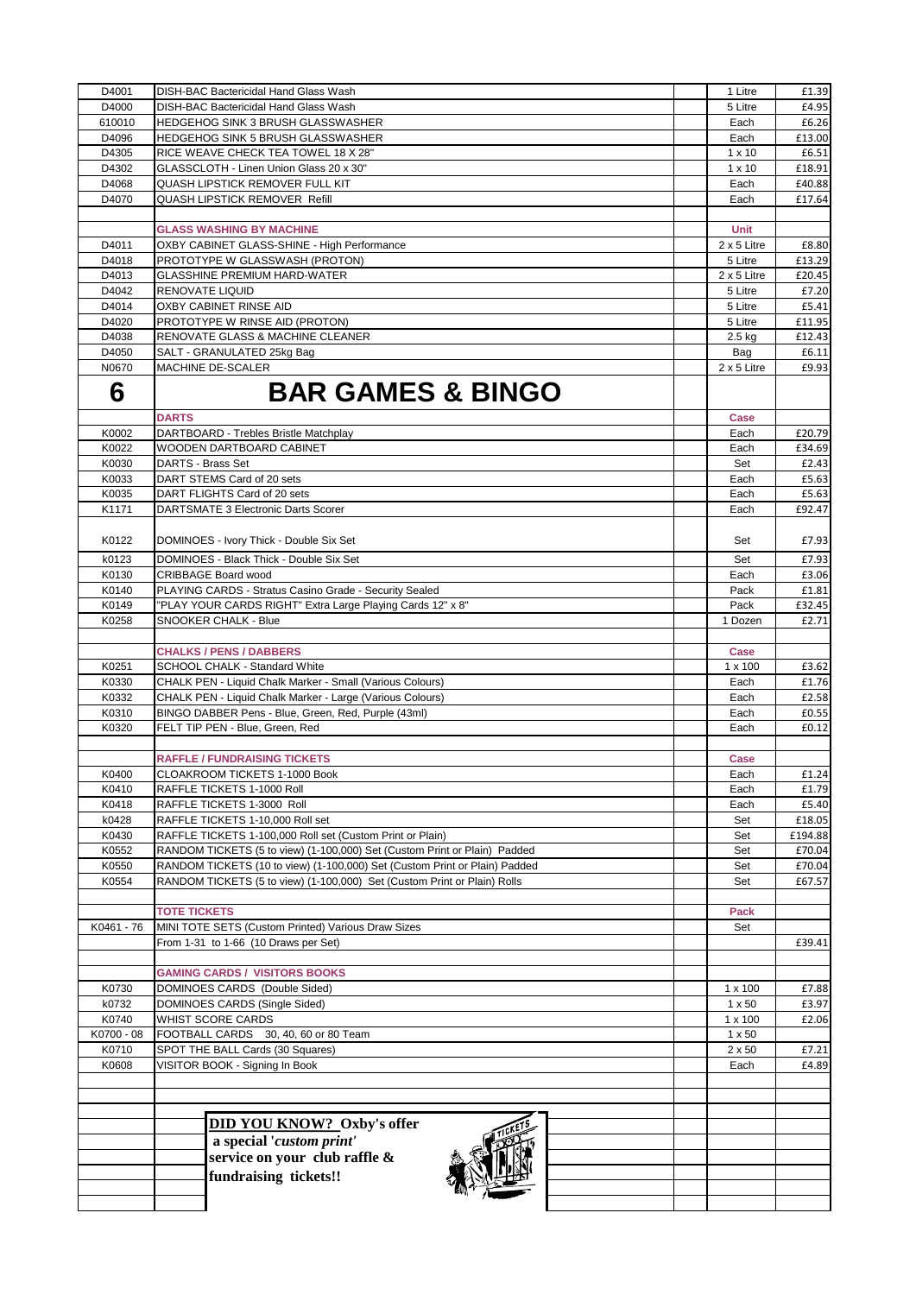| D4001      | DISH-BAC Bactericidal Hand Glass Wash                                      | 1 Litre            | £1.39   |
|------------|----------------------------------------------------------------------------|--------------------|---------|
| D4000      | DISH-BAC Bactericidal Hand Glass Wash                                      | 5 Litre            | £4.95   |
| 610010     | <b>HEDGEHOG SINK 3 BRUSH GLASSWASHER</b>                                   | Each               | £6.26   |
| D4096      | HEDGEHOG SINK 5 BRUSH GLASSWASHER                                          | Each               | £13.00  |
| D4305      | RICE WEAVE CHECK TEA TOWEL 18 X 28"                                        | $1 \times 10$      | £6.51   |
| D4302      | GLASSCLOTH - Linen Union Glass 20 x 30"                                    | $1 \times 10$      | £18.91  |
| D4068      | QUASH LIPSTICK REMOVER FULL KIT                                            | Each               | £40.88  |
| D4070      | <b>QUASH LIPSTICK REMOVER Refill</b>                                       | Each               | £17.64  |
|            |                                                                            |                    |         |
|            |                                                                            | Unit               |         |
|            | <b>GLASS WASHING BY MACHINE</b>                                            |                    |         |
| D4011      | OXBY CABINET GLASS-SHINE - High Performance                                | 2 x 5 Litre        | £8.80   |
| D4018      | PROTOTYPE W GLASSWASH (PROTON)                                             | 5 Litre            | £13.29  |
| D4013      | <b>GLASSHINE PREMIUM HARD-WATER</b>                                        | $2 \times 5$ Litre | £20.45  |
| D4042      | <b>RENOVATE LIQUID</b>                                                     | 5 Litre            | £7.20   |
| D4014      | OXBY CABINET RINSE AID                                                     | 5 Litre            | £5.41   |
| D4020      | PROTOTYPE W RINSE AID (PROTON)                                             | 5 Litre            | £11.95  |
| D4038      | RENOVATE GLASS & MACHINE CLEANER                                           | 2.5 kg             | £12.43  |
| D4050      | SALT - GRANULATED 25kg Bag                                                 | Bag                | £6.11   |
| N0670      | MACHINE DE-SCALER                                                          | $2 \times 5$ Litre | £9.93   |
| 6          | <b>BAR GAMES &amp; BINGO</b>                                               |                    |         |
|            | <b>DARTS</b>                                                               | Case               |         |
| K0002      | DARTBOARD - Trebles Bristle Matchplay                                      | Each               | £20.79  |
| K0022      | WOODEN DARTBOARD CABINET                                                   | Each               | £34.69  |
| K0030      | DARTS - Brass Set                                                          | Set                | £2.43   |
| K0033      | DART STEMS Card of 20 sets                                                 | Each               | £5.63   |
| K0035      | DART FLIGHTS Card of 20 sets                                               | Each               | £5.63   |
| K1171      | DARTSMATE 3 Electronic Darts Scorer                                        | Each               | £92.47  |
|            |                                                                            |                    |         |
| K0122      | DOMINOES - Ivory Thick - Double Six Set                                    | Set                | £7.93   |
|            |                                                                            |                    |         |
| k0123      | DOMINOES - Black Thick - Double Six Set                                    | Set                | £7.93   |
| K0130      | <b>CRIBBAGE Board wood</b>                                                 | Each               | £3.06   |
| K0140      | PLAYING CARDS - Stratus Casino Grade - Security Sealed                     | Pack               | £1.81   |
| K0149      | "PLAY YOUR CARDS RIGHT" Extra Large Playing Cards 12" x 8"                 | Pack               | £32.45  |
| K0258      | SNOOKER CHALK - Blue                                                       | 1 Dozen            | £2.71   |
|            |                                                                            |                    |         |
|            | <b>CHALKS / PENS / DABBERS</b>                                             | Case               |         |
| K0251      | SCHOOL CHALK - Standard White                                              | 1 x 100            | £3.62   |
| K0330      | CHALK PEN - Liquid Chalk Marker - Small (Various Colours)                  | Each               | £1.76   |
| K0332      | CHALK PEN - Liquid Chalk Marker - Large (Various Colours)                  | Each               | £2.58   |
| K0310      | BINGO DABBER Pens - Blue, Green, Red, Purple (43ml)                        | Each               | £0.55   |
| K0320      | FELT TIP PEN - Blue, Green, Red                                            | Each               | £0.12   |
|            |                                                                            |                    |         |
|            | <b>RAFFLE / FUNDRAISING TICKETS</b>                                        | Case               |         |
| K0400      | CLOAKROOM TICKETS 1-1000 Book                                              | Each               | £1.24   |
| K0410      | RAFFLE TICKETS 1-1000 Roll                                                 | Each               | £1.79   |
| K0418      | RAFFLE TICKETS 1-3000 Roll                                                 | Each               | £5.40   |
| k0428      | RAFFLE TICKETS 1-10,000 Roll set                                           | Set                | £18.05  |
|            | RAFFLE TICKETS 1-100,000 Roll set (Custom Print or Plain)                  |                    |         |
| K0430      | RANDOM TICKETS (5 to view) (1-100,000) Set (Custom Print or Plain) Padded  | Set                | £194.88 |
| K0552      |                                                                            | Set                | £70.04  |
| K0550      | RANDOM TICKETS (10 to view) (1-100,000) Set (Custom Print or Plain) Padded | Set                | £70.04  |
| K0554      | RANDOM TICKETS (5 to view) (1-100,000) Set (Custom Print or Plain) Rolls   | Set                | £67.57  |
|            |                                                                            |                    |         |
|            | <b>TOTE TICKETS</b>                                                        | Pack               |         |
| K0461 - 76 | MINI TOTE SETS (Custom Printed) Various Draw Sizes                         | Set                |         |
|            | From 1-31 to 1-66 (10 Draws per Set)                                       |                    | £39.41  |
|            |                                                                            |                    |         |
|            | <b>GAMING CARDS / VISITORS BOOKS</b>                                       |                    |         |
| K0730      | DOMINOES CARDS (Double Sided)                                              | $1 \times 100$     | £7.88   |
| k0732      | DOMINOES CARDS (Single Sided)                                              | $1 \times 50$      | £3.97   |
| K0740      | WHIST SCORE CARDS                                                          | $1 \times 100$     | £2.06   |
| K0700 - 08 | FOOTBALL CARDS 30, 40, 60 or 80 Team                                       | $1 \times 50$      |         |
| K0710      | SPOT THE BALL Cards (30 Squares)                                           | $2 \times 50$      | £7.21   |
| K0608      | VISITOR BOOK - Signing In Book                                             | Each               | £4.89   |
|            |                                                                            |                    |         |
|            |                                                                            |                    |         |
|            |                                                                            |                    |         |
|            | <b>DID YOU KNOW?</b> Oxby's offer                                          |                    |         |
|            | a special 'custom print'                                                   |                    |         |
|            | service on your club raffle &                                              |                    |         |
|            | fundraising tickets!!                                                      |                    |         |
|            |                                                                            |                    |         |
|            |                                                                            |                    |         |
|            |                                                                            |                    |         |